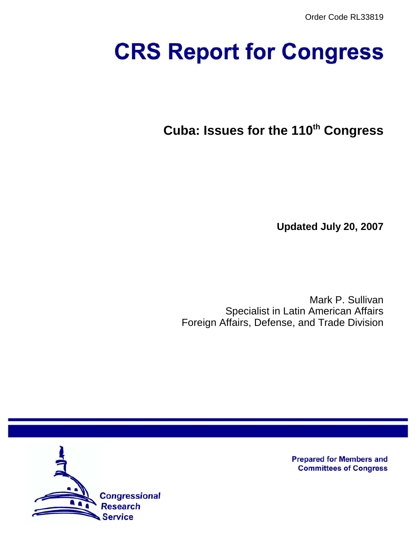# **CRS Report for Congress**

**Cuba: Issues for the 110th Congress**

**Updated July 20, 2007**

Mark P. Sullivan Specialist in Latin American Affairs Foreign Affairs, Defense, and Trade Division



**Prepared for Members and Committees of Congress**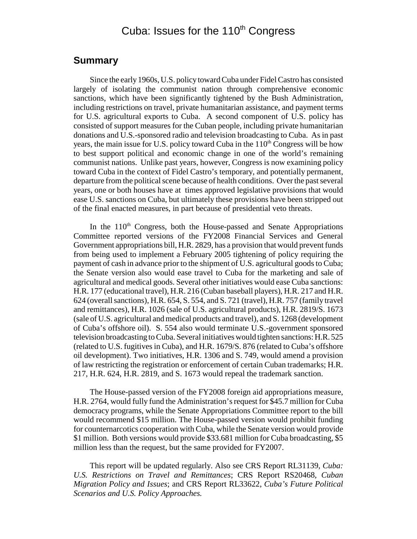# Cuba: Issues for the  $110<sup>th</sup>$  Congress

## **Summary**

Since the early 1960s, U.S. policy toward Cuba under Fidel Castro has consisted largely of isolating the communist nation through comprehensive economic sanctions, which have been significantly tightened by the Bush Administration, including restrictions on travel, private humanitarian assistance, and payment terms for U.S. agricultural exports to Cuba. A second component of U.S. policy has consisted of support measures for the Cuban people, including private humanitarian donations and U.S.-sponsored radio and television broadcasting to Cuba. As in past years, the main issue for U.S. policy toward Cuba in the  $110<sup>th</sup>$  Congress will be how to best support political and economic change in one of the world's remaining communist nations. Unlike past years, however, Congress is now examining policy toward Cuba in the context of Fidel Castro's temporary, and potentially permanent, departure from the political scene because of health conditions. Over the past several years, one or both houses have at times approved legislative provisions that would ease U.S. sanctions on Cuba, but ultimately these provisions have been stripped out of the final enacted measures, in part because of presidential veto threats.

In the 110<sup>th</sup> Congress, both the House-passed and Senate Appropriations Committee reported versions of the FY2008 Financial Services and General Government appropriations bill, H.R. 2829, has a provision that would prevent funds from being used to implement a February 2005 tightening of policy requiring the payment of cash in advance prior to the shipment of U.S. agricultural goods to Cuba; the Senate version also would ease travel to Cuba for the marketing and sale of agricultural and medical goods. Several other initiatives would ease Cuba sanctions: H.R. 177 (educational travel), H.R. 216 (Cuban baseball players), H.R. 217 and H.R. 624 (overall sanctions), H.R. 654, S. 554, and S. 721 (travel), H.R. 757 (family travel and remittances), H.R. 1026 (sale of U.S. agricultural products), H.R. 2819/S. 1673 (sale of U.S. agricultural and medical products and travel), and S. 1268 (development of Cuba's offshore oil). S. 554 also would terminate U.S.-government sponsored television broadcasting to Cuba. Several initiatives would tighten sanctions: H.R. 525 (related to U.S. fugitives in Cuba), and H.R. 1679/S. 876 (related to Cuba's offshore oil development). Two initiatives, H.R. 1306 and S. 749, would amend a provision of law restricting the registration or enforcement of certain Cuban trademarks; H.R. 217, H.R. 624, H.R. 2819, and S. 1673 would repeal the trademark sanction.

The House-passed version of the FY2008 foreign aid appropriations measure, H.R. 2764, would fully fund the Administration's request for \$45.7 million for Cuba democracy programs, while the Senate Appropriations Committee report to the bill would recommend \$15 million. The House-passed version would prohibit funding for counternarcotics cooperation with Cuba, while the Senate version would provide \$1 million. Both versions would provide \$33.681 million for Cuba broadcasting, \$5 million less than the request, but the same provided for FY2007.

This report will be updated regularly. Also see CRS Report RL31139, *Cuba: U.S. Restrictions on Travel and Remittances*; CRS Report RS20468, *Cuban Migration Policy and Issues*; and CRS Report RL33622, *Cuba's Future Political Scenarios and U.S. Policy Approaches.*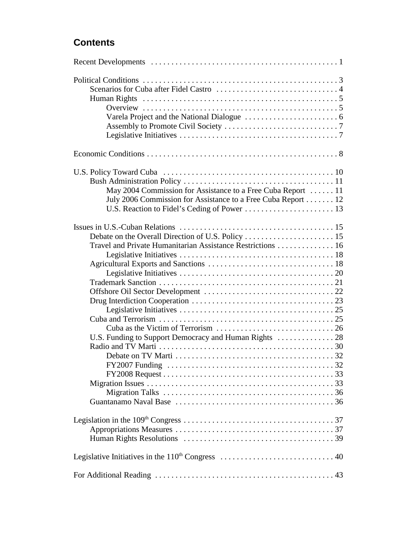# **Contents**

| Overview $\dots \dots \dots \dots \dots \dots \dots \dots \dots \dots \dots \dots \dots \dots \dots \dots$ |
|------------------------------------------------------------------------------------------------------------|
|                                                                                                            |
|                                                                                                            |
|                                                                                                            |
|                                                                                                            |
|                                                                                                            |
|                                                                                                            |
|                                                                                                            |
| May 2004 Commission for Assistance to a Free Cuba Report  11                                               |
| July 2006 Commission for Assistance to a Free Cuba Report 12                                               |
|                                                                                                            |
|                                                                                                            |
|                                                                                                            |
| Travel and Private Humanitarian Assistance Restrictions 16                                                 |
|                                                                                                            |
|                                                                                                            |
|                                                                                                            |
|                                                                                                            |
|                                                                                                            |
|                                                                                                            |
|                                                                                                            |
|                                                                                                            |
|                                                                                                            |
|                                                                                                            |
|                                                                                                            |
|                                                                                                            |
|                                                                                                            |
|                                                                                                            |
|                                                                                                            |
|                                                                                                            |
|                                                                                                            |
|                                                                                                            |
|                                                                                                            |
|                                                                                                            |
|                                                                                                            |
|                                                                                                            |
|                                                                                                            |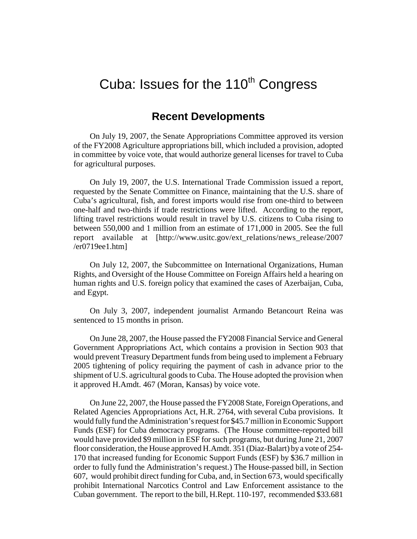# Cuba: Issues for the  $110<sup>th</sup>$  Congress

## **Recent Developments**

On July 19, 2007, the Senate Appropriations Committee approved its version of the FY2008 Agriculture appropriations bill, which included a provision, adopted in committee by voice vote, that would authorize general licenses for travel to Cuba for agricultural purposes.

On July 19, 2007, the U.S. International Trade Commission issued a report, requested by the Senate Committee on Finance, maintaining that the U.S. share of Cuba's agricultural, fish, and forest imports would rise from one-third to between one-half and two-thirds if trade restrictions were lifted. According to the report, lifting travel restrictions would result in travel by U.S. citizens to Cuba rising to between 550,000 and 1 million from an estimate of 171,000 in 2005. See the full report available at [http://www.usitc.gov/ext\_relations/news\_release/2007 /er0719ee1.htm]

On July 12, 2007, the Subcommittee on International Organizations, Human Rights, and Oversight of the House Committee on Foreign Affairs held a hearing on human rights and U.S. foreign policy that examined the cases of Azerbaijan, Cuba, and Egypt.

On July 3, 2007, independent journalist Armando Betancourt Reina was sentenced to 15 months in prison.

On June 28, 2007, the House passed the FY2008 Financial Service and General Government Appropriations Act, which contains a provision in Section 903 that would prevent Treasury Department funds from being used to implement a February 2005 tightening of policy requiring the payment of cash in advance prior to the shipment of U.S. agricultural goods to Cuba. The House adopted the provision when it approved H.Amdt. 467 (Moran, Kansas) by voice vote.

On June 22, 2007, the House passed the FY2008 State, Foreign Operations, and Related Agencies Appropriations Act, H.R. 2764, with several Cuba provisions. It would fully fund the Administration's request for \$45.7 million in Economic Support Funds (ESF) for Cuba democracy programs. (The House committee-reported bill would have provided \$9 million in ESF for such programs, but during June 21, 2007 floor consideration, the House approved H.Amdt. 351 (Diaz-Balart) by a vote of 254- 170 that increased funding for Economic Support Funds (ESF) by \$36.7 million in order to fully fund the Administration's request.) The House-passed bill, in Section 607, would prohibit direct funding for Cuba, and, in Section 673, would specifically prohibit International Narcotics Control and Law Enforcement assistance to the Cuban government. The report to the bill, H.Rept. 110-197, recommended \$33.681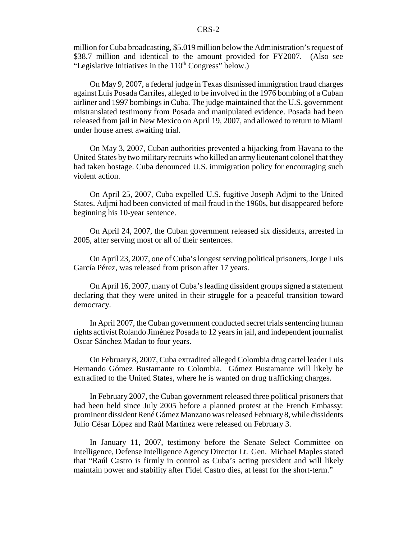million for Cuba broadcasting, \$5.019 million below the Administration's request of \$38.7 million and identical to the amount provided for FY2007. (Also see "Legislative Initiatives in the  $110<sup>th</sup>$  Congress" below.)

On May 9, 2007, a federal judge in Texas dismissed immigration fraud charges against Luis Posada Carriles, alleged to be involved in the 1976 bombing of a Cuban airliner and 1997 bombings in Cuba. The judge maintained that the U.S. government mistranslated testimony from Posada and manipulated evidence. Posada had been released from jail in New Mexico on April 19, 2007, and allowed to return to Miami under house arrest awaiting trial.

On May 3, 2007, Cuban authorities prevented a hijacking from Havana to the United States by two military recruits who killed an army lieutenant colonel that they had taken hostage. Cuba denounced U.S. immigration policy for encouraging such violent action.

On April 25, 2007, Cuba expelled U.S. fugitive Joseph Adjmi to the United States. Adjmi had been convicted of mail fraud in the 1960s, but disappeared before beginning his 10-year sentence.

On April 24, 2007, the Cuban government released six dissidents, arrested in 2005, after serving most or all of their sentences.

On April 23, 2007, one of Cuba's longest serving political prisoners, Jorge Luis García Pérez, was released from prison after 17 years.

On April 16, 2007, many of Cuba's leading dissident groups signed a statement declaring that they were united in their struggle for a peaceful transition toward democracy.

In April 2007, the Cuban government conducted secret trials sentencing human rights activist Rolando Jiménez Posada to 12 years in jail, and independent journalist Oscar Sánchez Madan to four years.

On February 8, 2007, Cuba extradited alleged Colombia drug cartel leader Luis Hernando Gómez Bustamante to Colombia. Gómez Bustamante will likely be extradited to the United States, where he is wanted on drug trafficking charges.

In February 2007, the Cuban government released three political prisoners that had been held since July 2005 before a planned protest at the French Embassy: prominent dissident René Gómez Manzano was released February 8, while dissidents Julio César López and Raúl Martinez were released on February 3.

In January 11, 2007, testimony before the Senate Select Committee on Intelligence, Defense Intelligence Agency Director Lt. Gen. Michael Maples stated that "Raúl Castro is firmly in control as Cuba's acting president and will likely maintain power and stability after Fidel Castro dies, at least for the short-term."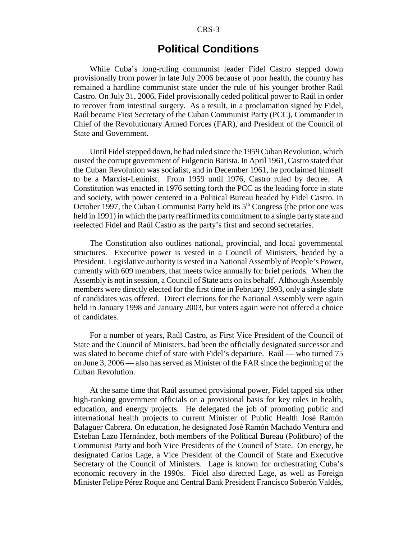#### CRS-3

## **Political Conditions**

While Cuba's long-ruling communist leader Fidel Castro stepped down provisionally from power in late July 2006 because of poor health, the country has remained a hardline communist state under the rule of his younger brother Raúl Castro. On July 31, 2006, Fidel provisionally ceded political power to Raúl in order to recover from intestinal surgery. As a result, in a proclamation signed by Fidel, Raúl became First Secretary of the Cuban Communist Party (PCC), Commander in Chief of the Revolutionary Armed Forces (FAR), and President of the Council of State and Government.

Until Fidel stepped down, he had ruled since the 1959 Cuban Revolution, which ousted the corrupt government of Fulgencio Batista. In April 1961, Castro stated that the Cuban Revolution was socialist, and in December 1961, he proclaimed himself to be a Marxist-Leninist. From 1959 until 1976, Castro ruled by decree. A Constitution was enacted in 1976 setting forth the PCC as the leading force in state and society, with power centered in a Political Bureau headed by Fidel Castro. In October 1997, the Cuban Communist Party held its  $5<sup>th</sup>$  Congress (the prior one was held in 1991) in which the party reaffirmed its commitment to a single party state and reelected Fidel and Raúl Castro as the party's first and second secretaries.

The Constitution also outlines national, provincial, and local governmental structures. Executive power is vested in a Council of Ministers, headed by a President. Legislative authority is vested in a National Assembly of People's Power, currently with 609 members, that meets twice annually for brief periods. When the Assembly is not in session, a Council of State acts on its behalf. Although Assembly members were directly elected for the first time in February 1993, only a single slate of candidates was offered. Direct elections for the National Assembly were again held in January 1998 and January 2003, but voters again were not offered a choice of candidates.

For a number of years, Raúl Castro, as First Vice President of the Council of State and the Council of Ministers, had been the officially designated successor and was slated to become chief of state with Fidel's departure. Raúl — who turned 75 on June 3, 2006 — also has served as Minister of the FAR since the beginning of the Cuban Revolution.

At the same time that Raúl assumed provisional power, Fidel tapped six other high-ranking government officials on a provisional basis for key roles in health, education, and energy projects. He delegated the job of promoting public and international health projects to current Minister of Public Health José Ramón Balaguer Cabrera. On education, he designated José Ramón Machado Ventura and Esteban Lazo Hernández, both members of the Political Bureau (Politburo) of the Communist Party and both Vice Presidents of the Council of State. On energy, he designated Carlos Lage, a Vice President of the Council of State and Executive Secretary of the Council of Ministers. Lage is known for orchestrating Cuba's economic recovery in the 1990s. Fidel also directed Lage, as well as Foreign Minister Felipe Pérez Roque and Central Bank President Francisco Soberón Valdés,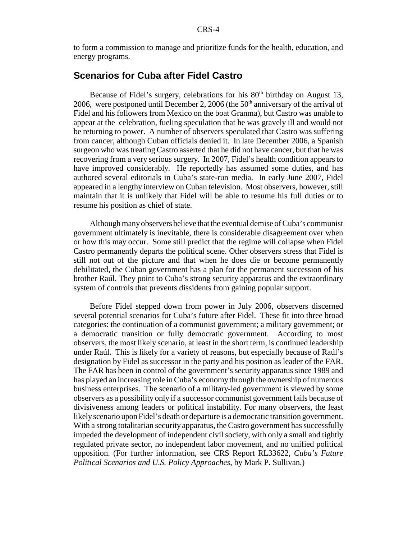to form a commission to manage and prioritize funds for the health, education, and energy programs.

## **Scenarios for Cuba after Fidel Castro**

Because of Fidel's surgery, celebrations for his 80<sup>th</sup> birthday on August 13, 2006, were postponed until December 2, 2006 (the  $50<sup>th</sup>$  anniversary of the arrival of Fidel and his followers from Mexico on the boat Granma), but Castro was unable to appear at the celebration, fueling speculation that he was gravely ill and would not be returning to power. A number of observers speculated that Castro was suffering from cancer, although Cuban officials denied it. In late December 2006, a Spanish surgeon who was treating Castro asserted that he did not have cancer, but that he was recovering from a very serious surgery. In 2007, Fidel's health condition appears to have improved considerably. He reportedly has assumed some duties, and has authored several editorials in Cuba's state-run media. In early June 2007, Fidel appeared in a lengthy interview on Cuban television. Most observers, however, still maintain that it is unlikely that Fidel will be able to resume his full duties or to resume his position as chief of state.

Although many observers believe that the eventual demise of Cuba's communist government ultimately is inevitable, there is considerable disagreement over when or how this may occur. Some still predict that the regime will collapse when Fidel Castro permanently departs the political scene. Other observers stress that Fidel is still not out of the picture and that when he does die or become permanently debilitated, the Cuban government has a plan for the permanent succession of his brother Raúl. They point to Cuba's strong security apparatus and the extraordinary system of controls that prevents dissidents from gaining popular support.

Before Fidel stepped down from power in July 2006, observers discerned several potential scenarios for Cuba's future after Fidel. These fit into three broad categories: the continuation of a communist government; a military government; or a democratic transition or fully democratic government. According to most observers, the most likely scenario, at least in the short term, is continued leadership under Raúl. This is likely for a variety of reasons, but especially because of Raúl's designation by Fidel as successor in the party and his position as leader of the FAR. The FAR has been in control of the government's security apparatus since 1989 and has played an increasing role in Cuba's economy through the ownership of numerous business enterprises. The scenario of a military-led government is viewed by some observers as a possibility only if a successor communist government fails because of divisiveness among leaders or political instability. For many observers, the least likely scenario upon Fidel's death or departure is a democratic transition government. With a strong totalitarian security apparatus, the Castro government has successfully impeded the development of independent civil society, with only a small and tightly regulated private sector, no independent labor movement, and no unified political opposition. (For further information, see CRS Report RL33622, *Cuba's Future Political Scenarios and U.S. Policy Approaches*, by Mark P. Sullivan.)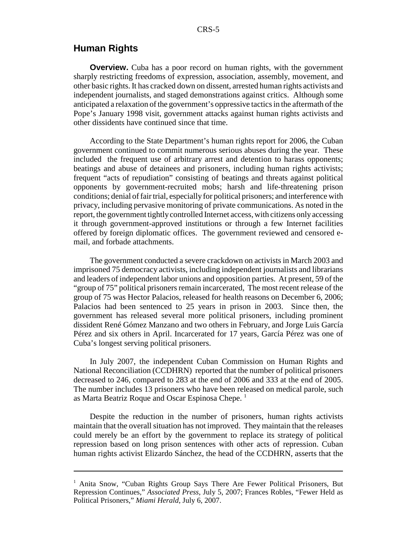## **Human Rights**

**Overview.** Cuba has a poor record on human rights, with the government sharply restricting freedoms of expression, association, assembly, movement, and other basic rights. It has cracked down on dissent, arrested human rights activists and independent journalists, and staged demonstrations against critics. Although some anticipated a relaxation of the government's oppressive tactics in the aftermath of the Pope's January 1998 visit, government attacks against human rights activists and other dissidents have continued since that time.

According to the State Department's human rights report for 2006, the Cuban government continued to commit numerous serious abuses during the year. These included the frequent use of arbitrary arrest and detention to harass opponents; beatings and abuse of detainees and prisoners, including human rights activists; frequent "acts of repudiation" consisting of beatings and threats against political opponents by government-recruited mobs; harsh and life-threatening prison conditions; denial of fair trial, especially for political prisoners; and interference with privacy, including pervasive monitoring of private communications. As noted in the report, the government tightly controlled Internet access, with citizens only accessing it through government-approved institutions or through a few Internet facilities offered by foreign diplomatic offices. The government reviewed and censored email, and forbade attachments.

The government conducted a severe crackdown on activists in March 2003 and imprisoned 75 democracy activists, including independent journalists and librarians and leaders of independent labor unions and opposition parties. At present, 59 of the "group of 75" political prisoners remain incarcerated, The most recent release of the group of 75 was Hector Palacios, released for health reasons on December 6, 2006; Palacios had been sentenced to 25 years in prison in 2003. Since then, the government has released several more political prisoners, including prominent dissident René Gómez Manzano and two others in February, and Jorge Luis García Pérez and six others in April. Incarcerated for 17 years, García Pérez was one of Cuba's longest serving political prisoners.

In July 2007, the independent Cuban Commission on Human Rights and National Reconciliation (CCDHRN) reported that the number of political prisoners decreased to 246, compared to 283 at the end of 2006 and 333 at the end of 2005. The number includes 13 prisoners who have been released on medical parole, such as Marta Beatriz Roque and Oscar Espinosa Chepe.<sup>1</sup>

Despite the reduction in the number of prisoners, human rights activists maintain that the overall situation has not improved. They maintain that the releases could merely be an effort by the government to replace its strategy of political repression based on long prison sentences with other acts of repression. Cuban human rights activist Elizardo Sánchez, the head of the CCDHRN, asserts that the

<sup>&</sup>lt;sup>1</sup> Anita Snow, "Cuban Rights Group Says There Are Fewer Political Prisoners, But Repression Continues," *Associated Press*, July 5, 2007; Frances Robles, "Fewer Held as Political Prisoners," *Miami Herald*, July 6, 2007.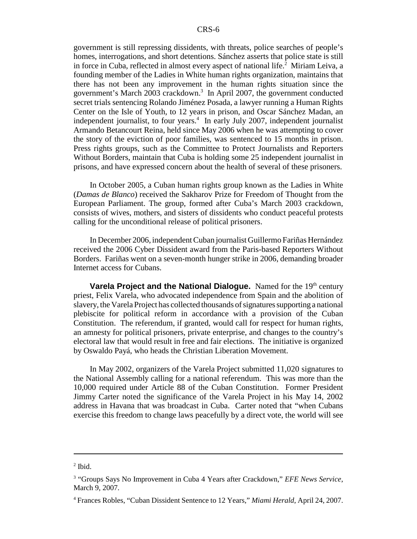government is still repressing dissidents, with threats, police searches of people's homes, interrogations, and short detentions. Sánchez asserts that police state is still in force in Cuba, reflected in almost every aspect of national life.<sup>2</sup> Miriam Leiva, a founding member of the Ladies in White human rights organization, maintains that there has not been any improvement in the human rights situation since the government's March 2003 crackdown.<sup>3</sup> In April 2007, the government conducted secret trials sentencing Rolando Jiménez Posada, a lawyer running a Human Rights Center on the Isle of Youth, to 12 years in prison, and Oscar Sánchez Madan, an independent journalist, to four years.<sup>4</sup> In early July 2007, independent journalist Armando Betancourt Reina, held since May 2006 when he was attempting to cover the story of the eviction of poor families, was sentenced to 15 months in prison. Press rights groups, such as the Committee to Protect Journalists and Reporters Without Borders, maintain that Cuba is holding some 25 independent journalist in prisons, and have expressed concern about the health of several of these prisoners.

In October 2005, a Cuban human rights group known as the Ladies in White (*Damas de Blanco*) received the Sakharov Prize for Freedom of Thought from the European Parliament. The group, formed after Cuba's March 2003 crackdown, consists of wives, mothers, and sisters of dissidents who conduct peaceful protests calling for the unconditional release of political prisoners.

In December 2006, independent Cuban journalist Guillermo Fariñas Hernández received the 2006 Cyber Dissident award from the Paris-based Reporters Without Borders. Fariñas went on a seven-month hunger strike in 2006, demanding broader Internet access for Cubans.

**Varela Project and the National Dialogue.** Named for the 19<sup>th</sup> century priest, Felix Varela, who advocated independence from Spain and the abolition of slavery, the Varela Project has collected thousands of signatures supporting a national plebiscite for political reform in accordance with a provision of the Cuban Constitution. The referendum, if granted, would call for respect for human rights, an amnesty for political prisoners, private enterprise, and changes to the country's electoral law that would result in free and fair elections. The initiative is organized by Oswaldo Payá, who heads the Christian Liberation Movement.

In May 2002, organizers of the Varela Project submitted 11,020 signatures to the National Assembly calling for a national referendum. This was more than the 10,000 required under Article 88 of the Cuban Constitution. Former President Jimmy Carter noted the significance of the Varela Project in his May 14, 2002 address in Havana that was broadcast in Cuba. Carter noted that "when Cubans exercise this freedom to change laws peacefully by a direct vote, the world will see

 $<sup>2</sup>$  Ibid.</sup>

<sup>&</sup>lt;sup>3</sup> "Groups Says No Improvement in Cuba 4 Years after Crackdown," *EFE News Service*, March 9, 2007.

<sup>4</sup> Frances Robles, "Cuban Dissident Sentence to 12 Years," *Miami Herald*, April 24, 2007.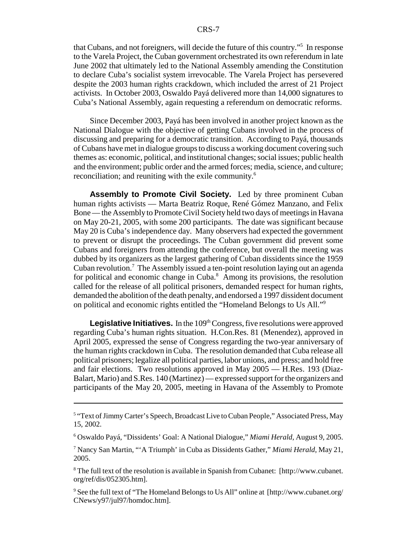that Cubans, and not foreigners, will decide the future of this country."5 In response to the Varela Project, the Cuban government orchestrated its own referendum in late June 2002 that ultimately led to the National Assembly amending the Constitution to declare Cuba's socialist system irrevocable. The Varela Project has persevered despite the 2003 human rights crackdown, which included the arrest of 21 Project activists. In October 2003, Oswaldo Payá delivered more than 14,000 signatures to Cuba's National Assembly, again requesting a referendum on democratic reforms.

Since December 2003, Payá has been involved in another project known as the National Dialogue with the objective of getting Cubans involved in the process of discussing and preparing for a democratic transition. According to Payá, thousands of Cubans have met in dialogue groups to discuss a working document covering such themes as: economic, political, and institutional changes; social issues; public health and the environment; public order and the armed forces; media, science, and culture; reconciliation; and reuniting with the exile community.<sup>6</sup>

**Assembly to Promote Civil Society.** Led by three prominent Cuban human rights activists — Marta Beatriz Roque, René Gómez Manzano, and Felix Bone — the Assembly to Promote Civil Society held two days of meetings in Havana on May 20-21, 2005, with some 200 participants. The date was significant because May 20 is Cuba's independence day. Many observers had expected the government to prevent or disrupt the proceedings. The Cuban government did prevent some Cubans and foreigners from attending the conference, but overall the meeting was dubbed by its organizers as the largest gathering of Cuban dissidents since the 1959 Cuban revolution.<sup>7</sup> The Assembly issued a ten-point resolution laying out an agenda for political and economic change in Cuba.<sup>8</sup> Among its provisions, the resolution called for the release of all political prisoners, demanded respect for human rights, demanded the abolition of the death penalty, and endorsed a 1997 dissident document on political and economic rights entitled the "Homeland Belongs to Us All."9

**Legislative Initiatives.** In the 109<sup>th</sup> Congress, five resolutions were approved regarding Cuba's human rights situation. H.Con.Res. 81 (Menendez), approved in April 2005, expressed the sense of Congress regarding the two-year anniversary of the human rights crackdown in Cuba. The resolution demanded that Cuba release all political prisoners; legalize all political parties, labor unions, and press; and hold free and fair elections. Two resolutions approved in May 2005 — H.Res. 193 (Diaz-Balart, Mario) and S.Res. 140 (Martinez) — expressed support for the organizers and participants of the May 20, 2005, meeting in Havana of the Assembly to Promote

<sup>&</sup>lt;sup>5</sup> "Text of Jimmy Carter's Speech, Broadcast Live to Cuban People," Associated Press, May 15, 2002.

<sup>6</sup> Oswaldo Payá, "Dissidents' Goal: A National Dialogue," *Miami Herald*, August 9, 2005.

<sup>7</sup> Nancy San Martin, "'A Triumph' in Cuba as Dissidents Gather," *Miami Herald*, May 21, 2005.

<sup>&</sup>lt;sup>8</sup> The full text of the resolution is available in Spanish from Cubanet: [http://www.cubanet. org/ref/dis/052305.htm].

<sup>&</sup>lt;sup>9</sup> See the full text of "The Homeland Belongs to Us All" online at [http://www.cubanet.org/ CNews/y97/jul97/homdoc.htm].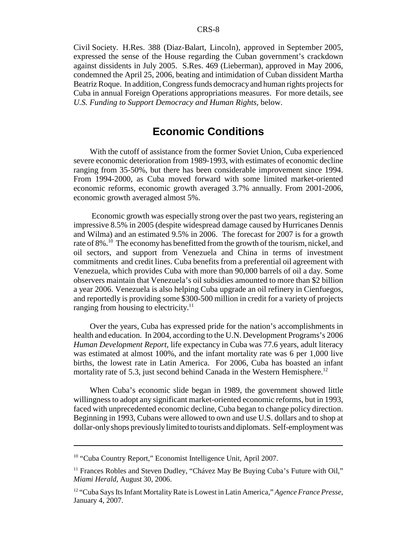Civil Society. H.Res. 388 (Diaz-Balart, Lincoln), approved in September 2005, expressed the sense of the House regarding the Cuban government's crackdown against dissidents in July 2005. S.Res. 469 (Lieberman), approved in May 2006, condemned the April 25, 2006, beating and intimidation of Cuban dissident Martha Beatriz Roque. In addition, Congress funds democracy and human rights projects for Cuba in annual Foreign Operations appropriations measures. For more details, see *U.S. Funding to Support Democracy and Human Rights,* below.

## **Economic Conditions**

With the cutoff of assistance from the former Soviet Union, Cuba experienced severe economic deterioration from 1989-1993, with estimates of economic decline ranging from 35-50%, but there has been considerable improvement since 1994. From 1994-2000, as Cuba moved forward with some limited market-oriented economic reforms, economic growth averaged 3.7% annually. From 2001-2006, economic growth averaged almost 5%.

 Economic growth was especially strong over the past two years, registering an impressive 8.5% in 2005 (despite widespread damage caused by Hurricanes Dennis and Wilma) and an estimated 9.5% in 2006. The forecast for 2007 is for a growth rate of 8%.<sup>10</sup> The economy has benefitted from the growth of the tourism, nickel, and oil sectors, and support from Venezuela and China in terms of investment commitments and credit lines. Cuba benefits from a preferential oil agreement with Venezuela, which provides Cuba with more than 90,000 barrels of oil a day. Some observers maintain that Venezuela's oil subsidies amounted to more than \$2 billion a year 2006. Venezuela is also helping Cuba upgrade an oil refinery in Cienfuegos, and reportedly is providing some \$300-500 million in credit for a variety of projects ranging from housing to electricity.<sup>11</sup>

Over the years, Cuba has expressed pride for the nation's accomplishments in health and education. In 2004, according to the U.N. Development Programs's 2006 *Human Development Report,* life expectancy in Cuba was 77.6 years, adult literacy was estimated at almost 100%, and the infant mortality rate was 6 per 1,000 live births, the lowest rate in Latin America. For 2006, Cuba has boasted an infant mortality rate of 5.3, just second behind Canada in the Western Hemisphere.<sup>12</sup>

When Cuba's economic slide began in 1989, the government showed little willingness to adopt any significant market-oriented economic reforms, but in 1993, faced with unprecedented economic decline, Cuba began to change policy direction. Beginning in 1993, Cubans were allowed to own and use U.S. dollars and to shop at dollar-only shops previously limited to tourists and diplomats. Self-employment was

<sup>10 &</sup>quot;Cuba Country Report," Economist Intelligence Unit, April 2007.

<sup>&</sup>lt;sup>11</sup> Frances Robles and Steven Dudley, "Chávez May Be Buying Cuba's Future with Oil," *Miami Herald*, August 30, 2006.

<sup>12 &</sup>quot;Cuba Says Its Infant Mortality Rate is Lowest in Latin America," *Agence France Presse*, January 4, 2007.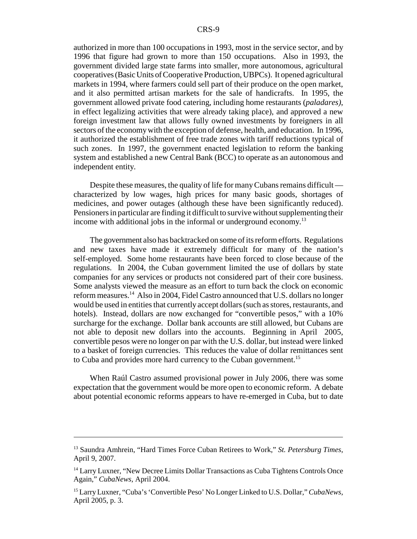authorized in more than 100 occupations in 1993, most in the service sector, and by 1996 that figure had grown to more than 150 occupations. Also in 1993, the government divided large state farms into smaller, more autonomous, agricultural cooperatives (Basic Units of Cooperative Production, UBPCs). It opened agricultural markets in 1994, where farmers could sell part of their produce on the open market, and it also permitted artisan markets for the sale of handicrafts. In 1995, the government allowed private food catering, including home restaurants (*paladares)*, in effect legalizing activities that were already taking place), and approved a new foreign investment law that allows fully owned investments by foreigners in all sectors of the economy with the exception of defense, health, and education. In 1996, it authorized the establishment of free trade zones with tariff reductions typical of such zones. In 1997, the government enacted legislation to reform the banking system and established a new Central Bank (BCC) to operate as an autonomous and independent entity.

Despite these measures, the quality of life for many Cubans remains difficult characterized by low wages, high prices for many basic goods, shortages of medicines, and power outages (although these have been significantly reduced). Pensioners in particular are finding it difficult to survive without supplementing their income with additional jobs in the informal or underground economy.<sup>13</sup>

The government also has backtracked on some of its reform efforts. Regulations and new taxes have made it extremely difficult for many of the nation's self-employed. Some home restaurants have been forced to close because of the regulations. In 2004, the Cuban government limited the use of dollars by state companies for any services or products not considered part of their core business. Some analysts viewed the measure as an effort to turn back the clock on economic reform measures.<sup>14</sup> Also in 2004, Fidel Castro announced that U.S. dollars no longer would be used in entities that currently accept dollars (such as stores, restaurants, and hotels). Instead, dollars are now exchanged for "convertible pesos," with a  $10\%$ surcharge for the exchange. Dollar bank accounts are still allowed, but Cubans are not able to deposit new dollars into the accounts. Beginning in April 2005, convertible pesos were no longer on par with the U.S. dollar, but instead were linked to a basket of foreign currencies. This reduces the value of dollar remittances sent to Cuba and provides more hard currency to the Cuban government.<sup>15</sup>

When Raúl Castro assumed provisional power in July 2006, there was some expectation that the government would be more open to economic reform. A debate about potential economic reforms appears to have re-emerged in Cuba, but to date

<sup>13</sup> Saundra Amhrein, "Hard Times Force Cuban Retirees to Work," *St. Petersburg Times*, April 9, 2007.

<sup>&</sup>lt;sup>14</sup> Larry Luxner, "New Decree Limits Dollar Transactions as Cuba Tightens Controls Once Again," *CubaNews*, April 2004.

<sup>15</sup> Larry Luxner, "Cuba's 'Convertible Peso' No Longer Linked to U.S. Dollar," *CubaNews*, April 2005, p. 3.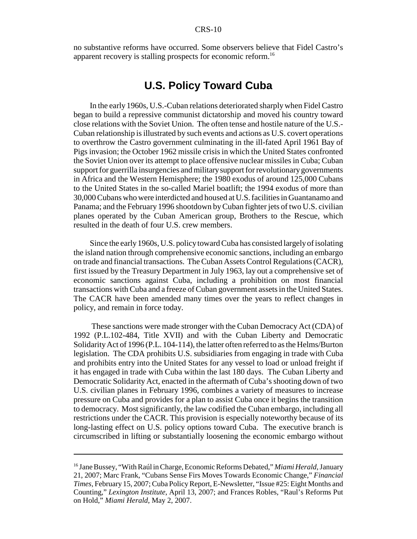no substantive reforms have occurred. Some observers believe that Fidel Castro's apparent recovery is stalling prospects for economic reform.<sup>16</sup>

## **U.S. Policy Toward Cuba**

In the early 1960s, U.S.-Cuban relations deteriorated sharply when Fidel Castro began to build a repressive communist dictatorship and moved his country toward close relations with the Soviet Union. The often tense and hostile nature of the U.S.- Cuban relationship is illustrated by such events and actions as U.S. covert operations to overthrow the Castro government culminating in the ill-fated April 1961 Bay of Pigs invasion; the October 1962 missile crisis in which the United States confronted the Soviet Union over its attempt to place offensive nuclear missiles in Cuba; Cuban support for guerrilla insurgencies and military support for revolutionary governments in Africa and the Western Hemisphere; the 1980 exodus of around 125,000 Cubans to the United States in the so-called Mariel boatlift; the 1994 exodus of more than 30,000 Cubans who were interdicted and housed at U.S. facilities in Guantanamo and Panama; and the February 1996 shootdown by Cuban fighter jets of two U.S. civilian planes operated by the Cuban American group, Brothers to the Rescue, which resulted in the death of four U.S. crew members.

Since the early 1960s, U.S. policy toward Cuba has consisted largely of isolating the island nation through comprehensive economic sanctions, including an embargo on trade and financial transactions. The Cuban Assets Control Regulations (CACR), first issued by the Treasury Department in July 1963, lay out a comprehensive set of economic sanctions against Cuba, including a prohibition on most financial transactions with Cuba and a freeze of Cuban government assets in the United States. The CACR have been amended many times over the years to reflect changes in policy, and remain in force today.

 These sanctions were made stronger with the Cuban Democracy Act (CDA) of 1992 (P.L.102-484, Title XVII) and with the Cuban Liberty and Democratic Solidarity Act of 1996 (P.L. 104-114), the latter often referred to as the Helms/Burton legislation. The CDA prohibits U.S. subsidiaries from engaging in trade with Cuba and prohibits entry into the United States for any vessel to load or unload freight if it has engaged in trade with Cuba within the last 180 days. The Cuban Liberty and Democratic Solidarity Act, enacted in the aftermath of Cuba's shooting down of two U.S. civilian planes in February 1996, combines a variety of measures to increase pressure on Cuba and provides for a plan to assist Cuba once it begins the transition to democracy. Most significantly, the law codified the Cuban embargo, including all restrictions under the CACR. This provision is especially noteworthy because of its long-lasting effect on U.S. policy options toward Cuba. The executive branch is circumscribed in lifting or substantially loosening the economic embargo without

<sup>16</sup> Jane Bussey, "With Raúl in Charge, Economic Reforms Debated," *Miami Herald*, January 21, 2007; Marc Frank, "Cubans Sense Firs Moves Towards Economic Change," *Financial Times*, February 15, 2007; Cuba Policy Report, E-Newsletter, "Issue #25: Eight Months and Counting," *Lexington Institute*, April 13, 2007; and Frances Robles, "Raul's Reforms Put on Hold," *Miami Herald*, May 2, 2007.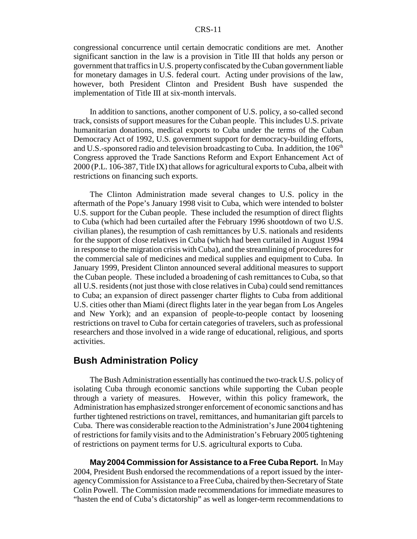congressional concurrence until certain democratic conditions are met. Another significant sanction in the law is a provision in Title III that holds any person or government that traffics in U.S. property confiscated by the Cuban government liable for monetary damages in U.S. federal court. Acting under provisions of the law, however, both President Clinton and President Bush have suspended the implementation of Title III at six-month intervals.

In addition to sanctions, another component of U.S. policy, a so-called second track, consists of support measures for the Cuban people. This includes U.S. private humanitarian donations, medical exports to Cuba under the terms of the Cuban Democracy Act of 1992, U.S. government support for democracy-building efforts, and U.S.-sponsored radio and television broadcasting to Cuba. In addition, the  $106<sup>th</sup>$ Congress approved the Trade Sanctions Reform and Export Enhancement Act of 2000 (P.L. 106-387, Title IX) that allows for agricultural exports to Cuba, albeit with restrictions on financing such exports.

The Clinton Administration made several changes to U.S. policy in the aftermath of the Pope's January 1998 visit to Cuba, which were intended to bolster U.S. support for the Cuban people. These included the resumption of direct flights to Cuba (which had been curtailed after the February 1996 shootdown of two U.S. civilian planes), the resumption of cash remittances by U.S. nationals and residents for the support of close relatives in Cuba (which had been curtailed in August 1994 in response to the migration crisis with Cuba), and the streamlining of procedures for the commercial sale of medicines and medical supplies and equipment to Cuba. In January 1999, President Clinton announced several additional measures to support the Cuban people. These included a broadening of cash remittances to Cuba, so that all U.S. residents (not just those with close relatives in Cuba) could send remittances to Cuba; an expansion of direct passenger charter flights to Cuba from additional U.S. cities other than Miami (direct flights later in the year began from Los Angeles and New York); and an expansion of people-to-people contact by loosening restrictions on travel to Cuba for certain categories of travelers, such as professional researchers and those involved in a wide range of educational, religious, and sports activities.

## **Bush Administration Policy**

The Bush Administration essentially has continued the two-track U.S. policy of isolating Cuba through economic sanctions while supporting the Cuban people through a variety of measures. However, within this policy framework, the Administration has emphasized stronger enforcement of economic sanctions and has further tightened restrictions on travel, remittances, and humanitarian gift parcels to Cuba. There was considerable reaction to the Administration's June 2004 tightening of restrictions for family visits and to the Administration's February 2005 tightening of restrictions on payment terms for U.S. agricultural exports to Cuba.

**May 2004 Commission for Assistance to a Free Cuba Report.** In May 2004, President Bush endorsed the recommendations of a report issued by the interagency Commission for Assistance to a Free Cuba, chaired by then-Secretary of State Colin Powell. The Commission made recommendations for immediate measures to "hasten the end of Cuba's dictatorship" as well as longer-term recommendations to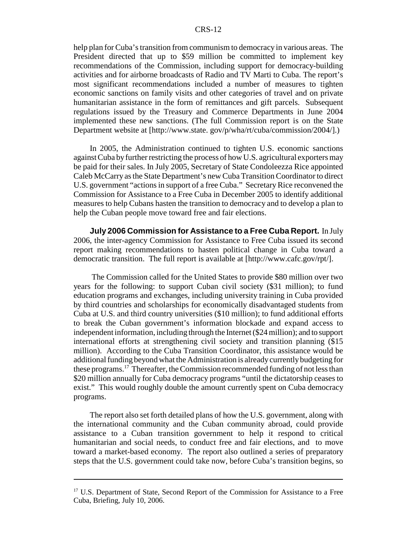#### CRS-12

help plan for Cuba's transition from communism to democracy in various areas. The President directed that up to \$59 million be committed to implement key recommendations of the Commission, including support for democracy-building activities and for airborne broadcasts of Radio and TV Marti to Cuba. The report's most significant recommendations included a number of measures to tighten economic sanctions on family visits and other categories of travel and on private humanitarian assistance in the form of remittances and gift parcels. Subsequent regulations issued by the Treasury and Commerce Departments in June 2004 implemented these new sanctions. (The full Commission report is on the State Department website at [http://www.state. gov/p/wha/rt/cuba/commission/2004/].)

In 2005, the Administration continued to tighten U.S. economic sanctions against Cuba by further restricting the process of how U.S. agricultural exporters may be paid for their sales. In July 2005, Secretary of State Condoleezza Rice appointed Caleb McCarry as the State Department's new Cuba Transition Coordinator to direct U.S. government "actions in support of a free Cuba." Secretary Rice reconvened the Commission for Assistance to a Free Cuba in December 2005 to identify additional measures to help Cubans hasten the transition to democracy and to develop a plan to help the Cuban people move toward free and fair elections.

**July 2006 Commission for Assistance to a Free Cuba Report.** In July 2006, the inter-agency Commission for Assistance to Free Cuba issued its second report making recommendations to hasten political change in Cuba toward a democratic transition. The full report is available at [http://www.cafc.gov/rpt/].

 The Commission called for the United States to provide \$80 million over two years for the following: to support Cuban civil society (\$31 million); to fund education programs and exchanges, including university training in Cuba provided by third countries and scholarships for economically disadvantaged students from Cuba at U.S. and third country universities (\$10 million); to fund additional efforts to break the Cuban government's information blockade and expand access to independent information, including through the Internet (\$24 million); and to support international efforts at strengthening civil society and transition planning (\$15 million). According to the Cuba Transition Coordinator, this assistance would be additional funding beyond what the Administration is already currently budgeting for these programs.<sup>17</sup> Thereafter, the Commission recommended funding of not less than \$20 million annually for Cuba democracy programs "until the dictatorship ceases to exist." This would roughly double the amount currently spent on Cuba democracy programs.

The report also set forth detailed plans of how the U.S. government, along with the international community and the Cuban community abroad, could provide assistance to a Cuban transition government to help it respond to critical humanitarian and social needs, to conduct free and fair elections, and to move toward a market-based economy. The report also outlined a series of preparatory steps that the U.S. government could take now, before Cuba's transition begins, so

<sup>&</sup>lt;sup>17</sup> U.S. Department of State, Second Report of the Commission for Assistance to a Free Cuba, Briefing, July 10, 2006.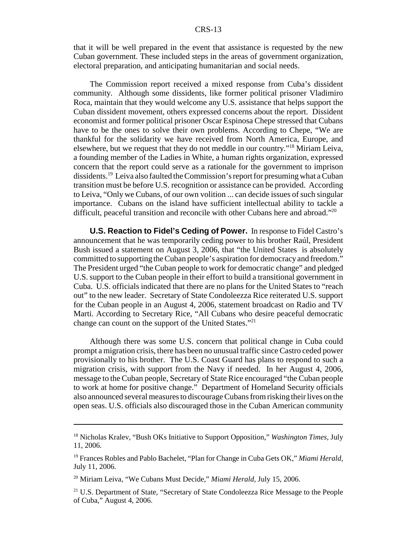#### CRS-13

that it will be well prepared in the event that assistance is requested by the new Cuban government. These included steps in the areas of government organization, electoral preparation, and anticipating humanitarian and social needs.

The Commission report received a mixed response from Cuba's dissident community. Although some dissidents, like former political prisoner Vladimiro Roca, maintain that they would welcome any U.S. assistance that helps support the Cuban dissident movement, others expressed concerns about the report. Dissident economist and former political prisoner Oscar Espinosa Chepe stressed that Cubans have to be the ones to solve their own problems. According to Chepe, "We are thankful for the solidarity we have received from North America, Europe, and elsewhere, but we request that they do not meddle in our country."18 Miriam Leiva, a founding member of the Ladies in White, a human rights organization, expressed concern that the report could serve as a rationale for the government to imprison dissidents.19 Leiva also faulted the Commission's report for presuming what a Cuban transition must be before U.S. recognition or assistance can be provided. According to Leiva, "Only we Cubans, of our own volition ... can decide issues of such singular importance. Cubans on the island have sufficient intellectual ability to tackle a difficult, peaceful transition and reconcile with other Cubans here and abroad."<sup>20</sup>

**U.S. Reaction to Fidel's Ceding of Power.** In response to Fidel Castro's announcement that he was temporarily ceding power to his brother Raúl, President Bush issued a statement on August 3, 2006, that "the United States is absolutely committed to supporting the Cuban people's aspiration for democracy and freedom." The President urged "the Cuban people to work for democratic change" and pledged U.S. support to the Cuban people in their effort to build a transitional government in Cuba. U.S. officials indicated that there are no plans for the United States to "reach out" to the new leader. Secretary of State Condoleezza Rice reiterated U.S. support for the Cuban people in an August 4, 2006, statement broadcast on Radio and TV Marti. According to Secretary Rice, "All Cubans who desire peaceful democratic change can count on the support of the United States."21

Although there was some U.S. concern that political change in Cuba could prompt a migration crisis, there has been no unusual traffic since Castro ceded power provisionally to his brother. The U.S. Coast Guard has plans to respond to such a migration crisis, with support from the Navy if needed. In her August 4, 2006, message to the Cuban people, Secretary of State Rice encouraged "the Cuban people to work at home for positive change." Department of Homeland Security officials also announced several measures to discourage Cubans from risking their lives on the open seas. U.S. officials also discouraged those in the Cuban American community

<sup>18</sup> Nicholas Kralev, "Bush OKs Initiative to Support Opposition," *Washington Times*, July 11, 2006.

<sup>19</sup> Frances Robles and Pablo Bachelet, "Plan for Change in Cuba Gets OK," *Miami Herald,* July 11, 2006.

<sup>20</sup> Miriam Leiva, "We Cubans Must Decide," *Miami Herald*, July 15, 2006.

<sup>&</sup>lt;sup>21</sup> U.S. Department of State, "Secretary of State Condoleezza Rice Message to the People of Cuba," August 4, 2006.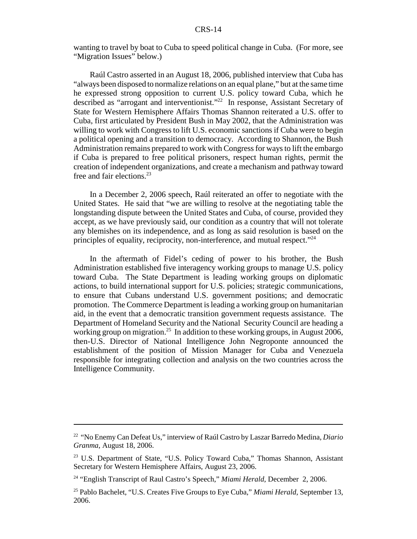wanting to travel by boat to Cuba to speed political change in Cuba. (For more, see "Migration Issues" below.)

Raúl Castro asserted in an August 18, 2006, published interview that Cuba has "always been disposed to normalize relations on an equal plane," but at the same time he expressed strong opposition to current U.S. policy toward Cuba, which he described as "arrogant and interventionist."22 In response, Assistant Secretary of State for Western Hemisphere Affairs Thomas Shannon reiterated a U.S. offer to Cuba, first articulated by President Bush in May 2002, that the Administration was willing to work with Congress to lift U.S. economic sanctions if Cuba were to begin a political opening and a transition to democracy. According to Shannon, the Bush Administration remains prepared to work with Congress for ways to lift the embargo if Cuba is prepared to free political prisoners, respect human rights, permit the creation of independent organizations, and create a mechanism and pathway toward free and fair elections. $^{23}$ 

In a December 2, 2006 speech, Raúl reiterated an offer to negotiate with the United States. He said that "we are willing to resolve at the negotiating table the longstanding dispute between the United States and Cuba, of course, provided they accept, as we have previously said, our condition as a country that will not tolerate any blemishes on its independence, and as long as said resolution is based on the principles of equality, reciprocity, non-interference, and mutual respect."24

In the aftermath of Fidel's ceding of power to his brother, the Bush Administration established five interagency working groups to manage U.S. policy toward Cuba. The State Department is leading working groups on diplomatic actions, to build international support for U.S. policies; strategic communications, to ensure that Cubans understand U.S. government positions; and democratic promotion. The Commerce Department is leading a working group on humanitarian aid, in the event that a democratic transition government requests assistance. The Department of Homeland Security and the National Security Council are heading a working group on migration.<sup>25</sup> In addition to these working groups, in August 2006, then-U.S. Director of National Intelligence John Negroponte announced the establishment of the position of Mission Manager for Cuba and Venezuela responsible for integrating collection and analysis on the two countries across the Intelligence Community.

<sup>22 &</sup>quot;No Enemy Can Defeat Us," interview of Raúl Castro by Laszar Barredo Medina, *Diario Granma*, August 18, 2006.

<sup>&</sup>lt;sup>23</sup> U.S. Department of State, "U.S. Policy Toward Cuba," Thomas Shannon, Assistant Secretary for Western Hemisphere Affairs, August 23, 2006.

<sup>24 &</sup>quot;English Transcript of Raul Castro's Speech," *Miami Herald*, December 2, 2006.

<sup>25</sup> Pablo Bachelet, "U.S. Creates Five Groups to Eye Cuba," *Miami Herald*, September 13, 2006.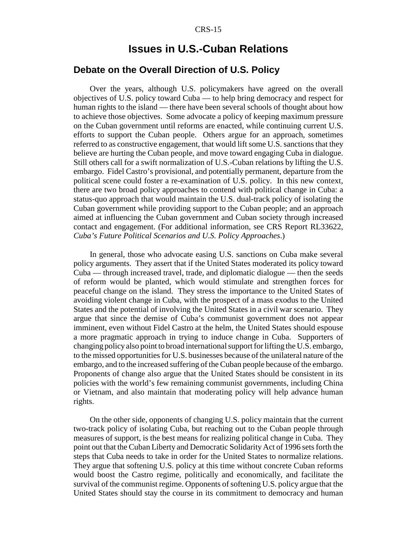## **Issues in U.S.-Cuban Relations**

#### **Debate on the Overall Direction of U.S. Policy**

Over the years, although U.S. policymakers have agreed on the overall objectives of U.S. policy toward Cuba — to help bring democracy and respect for human rights to the island — there have been several schools of thought about how to achieve those objectives. Some advocate a policy of keeping maximum pressure on the Cuban government until reforms are enacted, while continuing current U.S. efforts to support the Cuban people. Others argue for an approach, sometimes referred to as constructive engagement, that would lift some U.S. sanctions that they believe are hurting the Cuban people, and move toward engaging Cuba in dialogue. Still others call for a swift normalization of U.S.-Cuban relations by lifting the U.S. embargo. Fidel Castro's provisional, and potentially permanent, departure from the political scene could foster a re-examination of U.S. policy. In this new context, there are two broad policy approaches to contend with political change in Cuba: a status-quo approach that would maintain the U.S. dual-track policy of isolating the Cuban government while providing support to the Cuban people; and an approach aimed at influencing the Cuban government and Cuban society through increased contact and engagement. (For additional information, see CRS Report RL33622, *Cuba's Future Political Scenarios and U.S. Policy Approaches*.)

In general, those who advocate easing U.S. sanctions on Cuba make several policy arguments. They assert that if the United States moderated its policy toward Cuba — through increased travel, trade, and diplomatic dialogue — then the seeds of reform would be planted, which would stimulate and strengthen forces for peaceful change on the island. They stress the importance to the United States of avoiding violent change in Cuba, with the prospect of a mass exodus to the United States and the potential of involving the United States in a civil war scenario. They argue that since the demise of Cuba's communist government does not appear imminent, even without Fidel Castro at the helm, the United States should espouse a more pragmatic approach in trying to induce change in Cuba. Supporters of changing policy also point to broad international support for lifting the U.S. embargo, to the missed opportunities for U.S. businesses because of the unilateral nature of the embargo, and to the increased suffering of the Cuban people because of the embargo. Proponents of change also argue that the United States should be consistent in its policies with the world's few remaining communist governments, including China or Vietnam, and also maintain that moderating policy will help advance human rights.

On the other side, opponents of changing U.S. policy maintain that the current two-track policy of isolating Cuba, but reaching out to the Cuban people through measures of support, is the best means for realizing political change in Cuba. They point out that the Cuban Liberty and Democratic Solidarity Act of 1996 sets forth the steps that Cuba needs to take in order for the United States to normalize relations. They argue that softening U.S. policy at this time without concrete Cuban reforms would boost the Castro regime, politically and economically, and facilitate the survival of the communist regime. Opponents of softening U.S. policy argue that the United States should stay the course in its commitment to democracy and human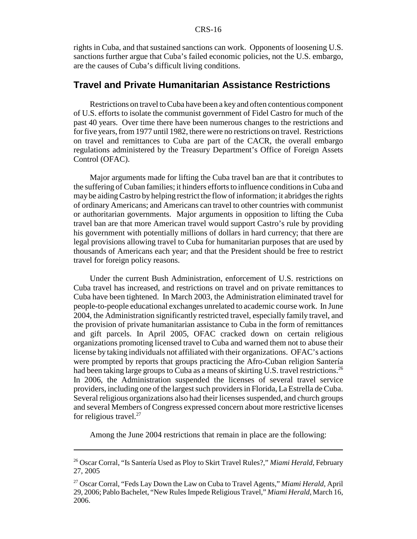rights in Cuba, and that sustained sanctions can work. Opponents of loosening U.S. sanctions further argue that Cuba's failed economic policies, not the U.S. embargo, are the causes of Cuba's difficult living conditions.

### **Travel and Private Humanitarian Assistance Restrictions**

Restrictions on travel to Cuba have been a key and often contentious component of U.S. efforts to isolate the communist government of Fidel Castro for much of the past 40 years. Over time there have been numerous changes to the restrictions and for five years, from 1977 until 1982, there were no restrictions on travel. Restrictions on travel and remittances to Cuba are part of the CACR, the overall embargo regulations administered by the Treasury Department's Office of Foreign Assets Control (OFAC).

Major arguments made for lifting the Cuba travel ban are that it contributes to the suffering of Cuban families; it hinders efforts to influence conditions in Cuba and may be aiding Castro by helping restrict the flow of information; it abridges the rights of ordinary Americans; and Americans can travel to other countries with communist or authoritarian governments. Major arguments in opposition to lifting the Cuba travel ban are that more American travel would support Castro's rule by providing his government with potentially millions of dollars in hard currency; that there are legal provisions allowing travel to Cuba for humanitarian purposes that are used by thousands of Americans each year; and that the President should be free to restrict travel for foreign policy reasons.

Under the current Bush Administration, enforcement of U.S. restrictions on Cuba travel has increased, and restrictions on travel and on private remittances to Cuba have been tightened. In March 2003, the Administration eliminated travel for people-to-people educational exchanges unrelated to academic course work. In June 2004, the Administration significantly restricted travel, especially family travel, and the provision of private humanitarian assistance to Cuba in the form of remittances and gift parcels. In April 2005, OFAC cracked down on certain religious organizations promoting licensed travel to Cuba and warned them not to abuse their license by taking individuals not affiliated with their organizations. OFAC's actions were prompted by reports that groups practicing the Afro-Cuban religion Santería had been taking large groups to Cuba as a means of skirting U.S. travel restrictions.<sup>26</sup> In 2006, the Administration suspended the licenses of several travel service providers, including one of the largest such providers in Florida, La Estrella de Cuba. Several religious organizations also had their licenses suspended, and church groups and several Members of Congress expressed concern about more restrictive licenses for religious travel. $27$ 

Among the June 2004 restrictions that remain in place are the following:

<sup>26</sup> Oscar Corral, "Is Santería Used as Ploy to Skirt Travel Rules?," *Miami Herald*, February 27, 2005

<sup>27</sup> Oscar Corral, "Feds Lay Down the Law on Cuba to Travel Agents," *Miami Herald*, April 29, 2006; Pablo Bachelet, "New Rules Impede Religious Travel," *Miami Herald*, March 16, 2006.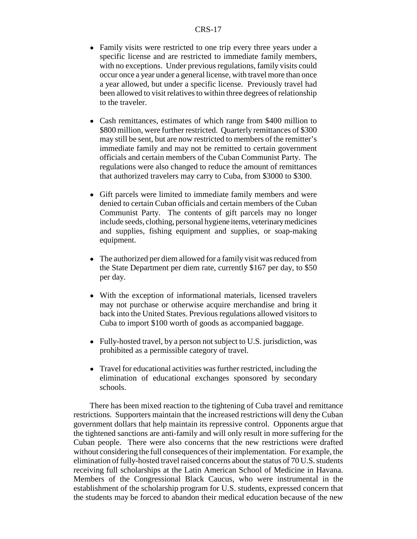- Family visits were restricted to one trip every three years under a specific license and are restricted to immediate family members, with no exceptions. Under previous regulations, family visits could occur once a year under a general license, with travel more than once a year allowed, but under a specific license. Previously travel had been allowed to visit relatives to within three degrees of relationship to the traveler.
- Cash remittances, estimates of which range from \$400 million to \$800 million, were further restricted. Quarterly remittances of \$300 may still be sent, but are now restricted to members of the remitter's immediate family and may not be remitted to certain government officials and certain members of the Cuban Communist Party. The regulations were also changed to reduce the amount of remittances that authorized travelers may carry to Cuba, from \$3000 to \$300.
- ! Gift parcels were limited to immediate family members and were denied to certain Cuban officials and certain members of the Cuban Communist Party. The contents of gift parcels may no longer include seeds, clothing, personal hygiene items, veterinary medicines and supplies, fishing equipment and supplies, or soap-making equipment.
- The authorized per diem allowed for a family visit was reduced from the State Department per diem rate, currently \$167 per day, to \$50 per day.
- ! With the exception of informational materials, licensed travelers may not purchase or otherwise acquire merchandise and bring it back into the United States. Previous regulations allowed visitors to Cuba to import \$100 worth of goods as accompanied baggage.
- Fully-hosted travel, by a person not subject to U.S. jurisdiction, was prohibited as a permissible category of travel.
- Travel for educational activities was further restricted, including the elimination of educational exchanges sponsored by secondary schools.

There has been mixed reaction to the tightening of Cuba travel and remittance restrictions. Supporters maintain that the increased restrictions will deny the Cuban government dollars that help maintain its repressive control. Opponents argue that the tightened sanctions are anti-family and will only result in more suffering for the Cuban people. There were also concerns that the new restrictions were drafted without considering the full consequences of their implementation. For example, the elimination of fully-hosted travel raised concerns about the status of 70 U.S. students receiving full scholarships at the Latin American School of Medicine in Havana. Members of the Congressional Black Caucus, who were instrumental in the establishment of the scholarship program for U.S. students, expressed concern that the students may be forced to abandon their medical education because of the new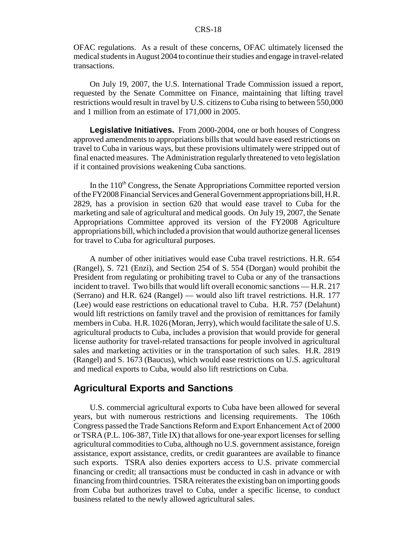#### CRS-18

OFAC regulations. As a result of these concerns, OFAC ultimately licensed the medical students in August 2004 to continue their studies and engage in travel-related transactions.

On July 19, 2007, the U.S. International Trade Commission issued a report, requested by the Senate Committee on Finance, maintaining that lifting travel restrictions would result in travel by U.S. citizens to Cuba rising to between 550,000 and 1 million from an estimate of 171,000 in 2005.

**Legislative Initiatives.** From 2000-2004, one or both houses of Congress approved amendments to appropriations bills that would have eased restrictions on travel to Cuba in various ways, but these provisions ultimately were stripped out of final enacted measures. The Administration regularly threatened to veto legislation if it contained provisions weakening Cuba sanctions.

In the  $110<sup>th</sup> Congress$ , the Senate Appropriations Committee reported version of the FY2008 Financial Services and General Government appropriations bill, H.R. 2829, has a provision in section 620 that would ease travel to Cuba for the marketing and sale of agricultural and medical goods. On July 19, 2007, the Senate Appropriations Committee approved its version of the FY2008 Agriculture appropriations bill, which included a provision that would authorize general licenses for travel to Cuba for agricultural purposes.

A number of other initiatives would ease Cuba travel restrictions. H.R. 654 (Rangel), S. 721 (Enzi), and Section 254 of S. 554 (Dorgan) would prohibit the President from regulating or prohibiting travel to Cuba or any of the transactions incident to travel. Two bills that would lift overall economic sanctions — H.R. 217 (Serrano) and H.R. 624 (Rangel) — would also lift travel restrictions. H.R. 177 (Lee) would ease restrictions on educational travel to Cuba. H.R. 757 (Delahunt) would lift restrictions on family travel and the provision of remittances for family members in Cuba. H.R. 1026 (Moran, Jerry), which would facilitate the sale of U.S. agricultural products to Cuba, includes a provision that would provide for general license authority for travel-related transactions for people involved in agricultural sales and marketing activities or in the transportation of such sales. H.R. 2819 (Rangel) and S. 1673 (Baucus), which would ease restrictions on U.S. agricultural and medical exports to Cuba, would also lift restrictions on Cuba.

## **Agricultural Exports and Sanctions**

U.S. commercial agricultural exports to Cuba have been allowed for several years, but with numerous restrictions and licensing requirements. The 106th Congress passed the Trade Sanctions Reform and Export Enhancement Act of 2000 or TSRA (P.L. 106-387, Title IX) that allows for one-year export licenses for selling agricultural commodities to Cuba, although no U.S. government assistance, foreign assistance, export assistance, credits, or credit guarantees are available to finance such exports. TSRA also denies exporters access to U.S. private commercial financing or credit; all transactions must be conducted in cash in advance or with financing from third countries. TSRA reiterates the existing ban on importing goods from Cuba but authorizes travel to Cuba, under a specific license, to conduct business related to the newly allowed agricultural sales.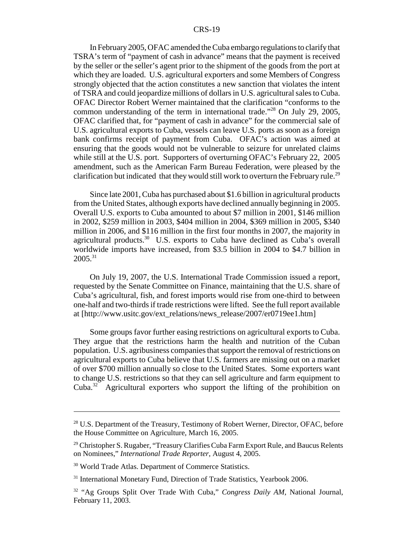In February 2005, OFAC amended the Cuba embargo regulations to clarify that TSRA's term of "payment of cash in advance" means that the payment is received by the seller or the seller's agent prior to the shipment of the goods from the port at which they are loaded. U.S. agricultural exporters and some Members of Congress strongly objected that the action constitutes a new sanction that violates the intent of TSRA and could jeopardize millions of dollars in U.S. agricultural sales to Cuba. OFAC Director Robert Werner maintained that the clarification "conforms to the common understanding of the term in international trade."28 On July 29, 2005, OFAC clarified that, for "payment of cash in advance" for the commercial sale of U.S. agricultural exports to Cuba, vessels can leave U.S. ports as soon as a foreign bank confirms receipt of payment from Cuba. OFAC's action was aimed at ensuring that the goods would not be vulnerable to seizure for unrelated claims while still at the U.S. port. Supporters of overturning OFAC's February 22, 2005 amendment, such as the American Farm Bureau Federation, were pleased by the clarification but indicated that they would still work to overturn the February rule.<sup>29</sup>

Since late 2001, Cuba has purchased about \$1.6 billion in agricultural products from the United States, although exports have declined annually beginning in 2005. Overall U.S. exports to Cuba amounted to about \$7 million in 2001, \$146 million in 2002, \$259 million in 2003, \$404 million in 2004, \$369 million in 2005, \$340 million in 2006, and \$116 million in the first four months in 2007, the majority in agricultural products.<sup>30</sup> U.S. exports to Cuba have declined as Cuba's overall worldwide imports have increased, from \$3.5 billion in 2004 to \$4.7 billion in  $2005^{31}$ 

On July 19, 2007, the U.S. International Trade Commission issued a report, requested by the Senate Committee on Finance, maintaining that the U.S. share of Cuba's agricultural, fish, and forest imports would rise from one-third to between one-half and two-thirds if trade restrictions were lifted. See the full report available at [http://www.usitc.gov/ext\_relations/news\_release/2007/er0719ee1.htm]

Some groups favor further easing restrictions on agricultural exports to Cuba. They argue that the restrictions harm the health and nutrition of the Cuban population. U.S. agribusiness companies that support the removal of restrictions on agricultural exports to Cuba believe that U.S. farmers are missing out on a market of over \$700 million annually so close to the United States. Some exporters want to change U.S. restrictions so that they can sell agriculture and farm equipment to Cuba.32 Agricultural exporters who support the lifting of the prohibition on

<sup>&</sup>lt;sup>28</sup> U.S. Department of the Treasury, Testimony of Robert Werner, Director, OFAC, before the House Committee on Agriculture, March 16, 2005.

<sup>&</sup>lt;sup>29</sup> Christopher S. Rugaber, "Treasury Clarifies Cuba Farm Export Rule, and Baucus Relents on Nominees," *International Trade Reporter*, August 4, 2005.

<sup>&</sup>lt;sup>30</sup> World Trade Atlas. Department of Commerce Statistics.

<sup>&</sup>lt;sup>31</sup> International Monetary Fund, Direction of Trade Statistics, Yearbook 2006.

<sup>32 &</sup>quot;Ag Groups Split Over Trade With Cuba," *Congress Daily AM*, National Journal, February 11, 2003.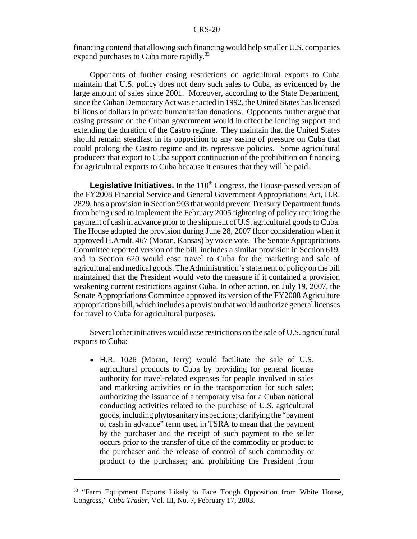financing contend that allowing such financing would help smaller U.S. companies expand purchases to Cuba more rapidly.<sup>33</sup>

Opponents of further easing restrictions on agricultural exports to Cuba maintain that U.S. policy does not deny such sales to Cuba, as evidenced by the large amount of sales since 2001. Moreover, according to the State Department, since the Cuban Democracy Act was enacted in 1992, the United States has licensed billions of dollars in private humanitarian donations. Opponents further argue that easing pressure on the Cuban government would in effect be lending support and extending the duration of the Castro regime. They maintain that the United States should remain steadfast in its opposition to any easing of pressure on Cuba that could prolong the Castro regime and its repressive policies. Some agricultural producers that export to Cuba support continuation of the prohibition on financing for agricultural exports to Cuba because it ensures that they will be paid.

**Legislative Initiatives.** In the 110<sup>th</sup> Congress, the House-passed version of the FY2008 Financial Service and General Government Appropriations Act, H.R. 2829, has a provision in Section 903 that would prevent Treasury Department funds from being used to implement the February 2005 tightening of policy requiring the payment of cash in advance prior to the shipment of U.S. agricultural goods to Cuba. The House adopted the provision during June 28, 2007 floor consideration when it approved H.Amdt. 467 (Moran, Kansas) by voice vote. The Senate Appropriations Committee reported version of the bill includes a similar provision in Section 619, and in Section 620 would ease travel to Cuba for the marketing and sale of agricultural and medical goods. The Administration's statement of policy on the bill maintained that the President would veto the measure if it contained a provision weakening current restrictions against Cuba. In other action, on July 19, 2007, the Senate Appropriations Committee approved its version of the FY2008 Agriculture appropriations bill, which includes a provision that would authorize general licenses for travel to Cuba for agricultural purposes.

Several other initiatives would ease restrictions on the sale of U.S. agricultural exports to Cuba:

• H.R. 1026 (Moran, Jerry) would facilitate the sale of U.S. agricultural products to Cuba by providing for general license authority for travel-related expenses for people involved in sales and marketing activities or in the transportation for such sales; authorizing the issuance of a temporary visa for a Cuban national conducting activities related to the purchase of U.S. agricultural goods, including phytosanitary inspections; clarifying the "payment of cash in advance" term used in TSRA to mean that the payment by the purchaser and the receipt of such payment to the seller occurs prior to the transfer of title of the commodity or product to the purchaser and the release of control of such commodity or product to the purchaser; and prohibiting the President from

<sup>&</sup>lt;sup>33</sup> "Farm Equipment Exports Likely to Face Tough Opposition from White House, Congress," *Cuba Trader*, Vol. III, No. 7, February 17, 2003.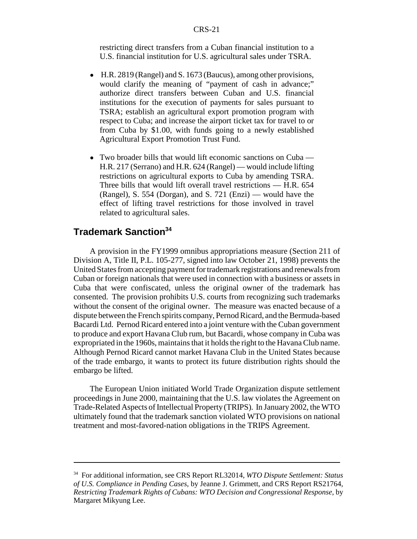restricting direct transfers from a Cuban financial institution to a U.S. financial institution for U.S. agricultural sales under TSRA.

- ! H.R. 2819 (Rangel) and S. 1673 (Baucus), among other provisions, would clarify the meaning of "payment of cash in advance;" authorize direct transfers between Cuban and U.S. financial institutions for the execution of payments for sales pursuant to TSRA; establish an agricultural export promotion program with respect to Cuba; and increase the airport ticket tax for travel to or from Cuba by \$1.00, with funds going to a newly established Agricultural Export Promotion Trust Fund.
- Two broader bills that would lift economic sanctions on Cuba H.R. 217 (Serrano) and H.R. 624 (Rangel) — would include lifting restrictions on agricultural exports to Cuba by amending TSRA. Three bills that would lift overall travel restrictions — H.R. 654 (Rangel), S. 554 (Dorgan), and S. 721 (Enzi) — would have the effect of lifting travel restrictions for those involved in travel related to agricultural sales.

## **Trademark Sanction34**

A provision in the FY1999 omnibus appropriations measure (Section 211 of Division A, Title II, P.L. 105-277, signed into law October 21, 1998) prevents the United States from accepting payment for trademark registrations and renewals from Cuban or foreign nationals that were used in connection with a business or assets in Cuba that were confiscated, unless the original owner of the trademark has consented. The provision prohibits U.S. courts from recognizing such trademarks without the consent of the original owner. The measure was enacted because of a dispute between the French spirits company, Pernod Ricard, and the Bermuda-based Bacardi Ltd. Pernod Ricard entered into a joint venture with the Cuban government to produce and export Havana Club rum, but Bacardi, whose company in Cuba was expropriated in the 1960s, maintains that it holds the right to the Havana Club name. Although Pernod Ricard cannot market Havana Club in the United States because of the trade embargo, it wants to protect its future distribution rights should the embargo be lifted.

The European Union initiated World Trade Organization dispute settlement proceedings in June 2000, maintaining that the U.S. law violates the Agreement on Trade-Related Aspects of Intellectual Property (TRIPS). In January 2002, the WTO ultimately found that the trademark sanction violated WTO provisions on national treatment and most-favored-nation obligations in the TRIPS Agreement.

<sup>34</sup> For additional information, see CRS Report RL32014, *WTO Dispute Settlement: Status of U.S. Compliance in Pending Cases*, by Jeanne J. Grimmett, and CRS Report RS21764, *Restricting Trademark Rights of Cubans: WTO Decision and Congressional Response*, by Margaret Mikyung Lee.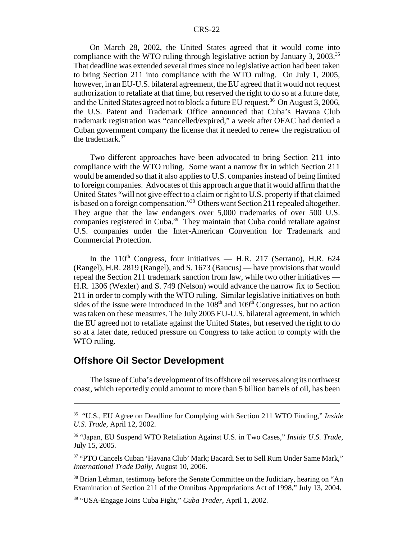#### CRS-22

On March 28, 2002, the United States agreed that it would come into compliance with the WTO ruling through legislative action by January 3, 2003.<sup>35</sup> That deadline was extended several times since no legislative action had been taken to bring Section 211 into compliance with the WTO ruling. On July 1, 2005, however, in an EU-U.S. bilateral agreement, the EU agreed that it would not request authorization to retaliate at that time, but reserved the right to do so at a future date, and the United States agreed not to block a future EU request.<sup>36</sup> On August 3, 2006, the U.S. Patent and Trademark Office announced that Cuba's Havana Club trademark registration was "cancelled/expired," a week after OFAC had denied a Cuban government company the license that it needed to renew the registration of the trademark.<sup>37</sup>

Two different approaches have been advocated to bring Section 211 into compliance with the WTO ruling. Some want a narrow fix in which Section 211 would be amended so that it also applies to U.S. companies instead of being limited to foreign companies. Advocates of this approach argue that it would affirm that the United States "will not give effect to a claim or right to U.S. property if that claimed is based on a foreign compensation."<sup>38</sup> Others want Section 211 repealed altogether. They argue that the law endangers over 5,000 trademarks of over 500 U.S. companies registered in Cuba.39 They maintain that Cuba could retaliate against U.S. companies under the Inter-American Convention for Trademark and Commercial Protection.

In the  $110<sup>th</sup>$  Congress, four initiatives — H.R. 217 (Serrano), H.R. 624 (Rangel), H.R. 2819 (Rangel), and S. 1673 (Baucus) — have provisions that would repeal the Section 211 trademark sanction from law, while two other initiatives — H.R. 1306 (Wexler) and S. 749 (Nelson) would advance the narrow fix to Section 211 in order to comply with the WTO ruling. Similar legislative initiatives on both sides of the issue were introduced in the  $108<sup>th</sup>$  and  $109<sup>th</sup>$  Congresses, but no action was taken on these measures. The July 2005 EU-U.S. bilateral agreement, in which the EU agreed not to retaliate against the United States, but reserved the right to do so at a later date, reduced pressure on Congress to take action to comply with the WTO ruling.

## **Offshore Oil Sector Development**

The issue of Cuba's development of its offshore oil reserves along its northwest coast, which reportedly could amount to more than 5 billion barrels of oil, has been

<sup>35 &</sup>quot;U.S., EU Agree on Deadline for Complying with Section 211 WTO Finding," *Inside U.S. Trade,* April 12, 2002.

<sup>36 &</sup>quot;Japan, EU Suspend WTO Retaliation Against U.S. in Two Cases," *Inside U.S. Trade*, July 15, 2005.

<sup>37 &</sup>quot;PTO Cancels Cuban 'Havana Club' Mark; Bacardi Set to Sell Rum Under Same Mark," *International Trade Daily*, August 10, 2006.

<sup>&</sup>lt;sup>38</sup> Brian Lehman, testimony before the Senate Committee on the Judiciary, hearing on "An Examination of Section 211 of the Omnibus Appropriations Act of 1998," July 13, 2004.

<sup>39 &</sup>quot;USA-Engage Joins Cuba Fight," *Cuba Trader*, April 1, 2002.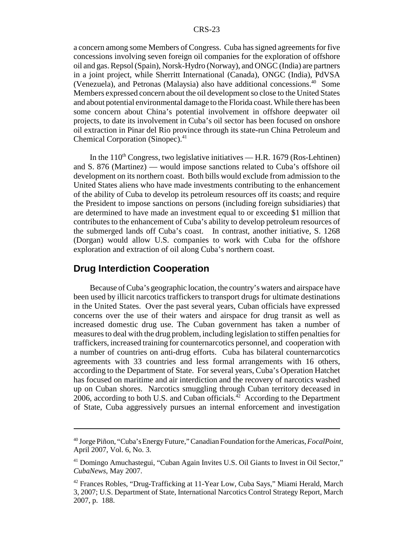a concern among some Members of Congress. Cuba has signed agreements for five concessions involving seven foreign oil companies for the exploration of offshore oil and gas. Repsol (Spain), Norsk-Hydro (Norway), and ONGC (India) are partners in a joint project, while Sherritt International (Canada), ONGC (India), PdVSA (Venezuela), and Petronas (Malaysia) also have additional concessions.<sup>40</sup> Some Members expressed concern about the oil development so close to the United States and about potential environmental damage to the Florida coast. While there has been some concern about China's potential involvement in offshore deepwater oil projects, to date its involvement in Cuba's oil sector has been focused on onshore oil extraction in Pinar del Rio province through its state-run China Petroleum and Chemical Corporation (Sinopec).<sup>41</sup>

In the  $110<sup>th</sup>$  Congress, two legislative initiatives — H.R. 1679 (Ros-Lehtinen) and S. 876 (Martinez) — would impose sanctions related to Cuba's offshore oil development on its northern coast. Both bills would exclude from admission to the United States aliens who have made investments contributing to the enhancement of the ability of Cuba to develop its petroleum resources off its coasts; and require the President to impose sanctions on persons (including foreign subsidiaries) that are determined to have made an investment equal to or exceeding \$1 million that contributes to the enhancement of Cuba's ability to develop petroleum resources of the submerged lands off Cuba's coast. In contrast, another initiative, S. 1268 (Dorgan) would allow U.S. companies to work with Cuba for the offshore exploration and extraction of oil along Cuba's northern coast.

#### **Drug Interdiction Cooperation**

Because of Cuba's geographic location, the country's waters and airspace have been used by illicit narcotics traffickers to transport drugs for ultimate destinations in the United States. Over the past several years, Cuban officials have expressed concerns over the use of their waters and airspace for drug transit as well as increased domestic drug use. The Cuban government has taken a number of measures to deal with the drug problem, including legislation to stiffen penalties for traffickers, increased training for counternarcotics personnel, and cooperation with a number of countries on anti-drug efforts. Cuba has bilateral counternarcotics agreements with 33 countries and less formal arrangements with 16 others, according to the Department of State. For several years, Cuba's Operation Hatchet has focused on maritime and air interdiction and the recovery of narcotics washed up on Cuban shores. Narcotics smuggling through Cuban territory deceased in 2006, according to both U.S. and Cuban officials.<sup>42</sup> According to the Department of State, Cuba aggressively pursues an internal enforcement and investigation

<sup>40</sup> Jorge Piñon, "Cuba's Energy Future," Canadian Foundation for the Americas, *FocalPoint*, April 2007, Vol. 6, No. 3.

<sup>&</sup>lt;sup>41</sup> Domingo Amuchastegui, "Cuban Again Invites U.S. Oil Giants to Invest in Oil Sector," *CubaNews*, May 2007.

<sup>42</sup> Frances Robles, "Drug-Trafficking at 11-Year Low, Cuba Says," Miami Herald, March 3, 2007; U.S. Department of State, International Narcotics Control Strategy Report, March 2007, p. 188.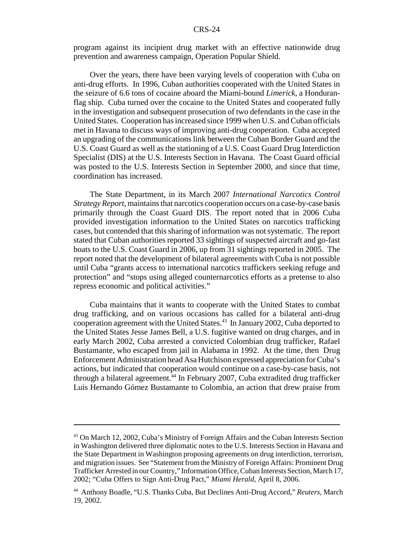program against its incipient drug market with an effective nationwide drug prevention and awareness campaign, Operation Popular Shield.

Over the years, there have been varying levels of cooperation with Cuba on anti-drug efforts. In 1996, Cuban authorities cooperated with the United States in the seizure of 6.6 tons of cocaine aboard the Miami-bound *Limerick*, a Honduranflag ship. Cuba turned over the cocaine to the United States and cooperated fully in the investigation and subsequent prosecution of two defendants in the case in the United States. Cooperation has increased since 1999 when U.S. and Cuban officials met in Havana to discuss ways of improving anti-drug cooperation. Cuba accepted an upgrading of the communications link between the Cuban Border Guard and the U.S. Coast Guard as well as the stationing of a U.S. Coast Guard Drug Interdiction Specialist (DIS) at the U.S. Interests Section in Havana. The Coast Guard official was posted to the U.S. Interests Section in September 2000, and since that time, coordination has increased.

The State Department, in its March 2007 *International Narcotics Control Strategy Report*, maintains that narcotics cooperation occurs on a case-by-case basis primarily through the Coast Guard DIS. The report noted that in 2006 Cuba provided investigation information to the United States on narcotics trafficking cases, but contended that this sharing of information was not systematic. The report stated that Cuban authorities reported 33 sightings of suspected aircraft and go-fast boats to the U.S. Coast Guard in 2006, up from 31 sightings reported in 2005. The report noted that the development of bilateral agreements with Cuba is not possible until Cuba "grants access to international narcotics traffickers seeking refuge and protection" and "stops using alleged counternarcotics efforts as a pretense to also repress economic and political activities."

Cuba maintains that it wants to cooperate with the United States to combat drug trafficking, and on various occasions has called for a bilateral anti-drug cooperation agreement with the United States.<sup>43</sup> In January 2002, Cuba deported to the United States Jesse James Bell, a U.S. fugitive wanted on drug charges, and in early March 2002, Cuba arrested a convicted Colombian drug trafficker, Rafael Bustamante, who escaped from jail in Alabama in 1992. At the time, then Drug Enforcement Administration head Asa Hutchison expressed appreciation for Cuba's actions, but indicated that cooperation would continue on a case-by-case basis, not through a bilateral agreement.<sup>44</sup> In February 2007, Cuba extradited drug trafficker Luis Hernando Gómez Bustamante to Colombia, an action that drew praise from

<sup>43</sup> On March 12, 2002, Cuba's Ministry of Foreign Affairs and the Cuban Interests Section in Washington delivered three diplomatic notes to the U.S. Interests Section in Havana and the State Department in Washington proposing agreements on drug interdiction, terrorism, and migration issues. See "Statement from the Ministry of Foreign Affairs: Prominent Drug Trafficker Arrested in our Country," Information Office, Cuban Interests Section, March 17, 2002; "Cuba Offers to Sign Anti-Drug Pact," *Miami Herald,* April 8, 2006.

<sup>44</sup> Anthony Boadle, "U.S. Thanks Cuba, But Declines Anti-Drug Accord," *Reuters,* March 19, 2002.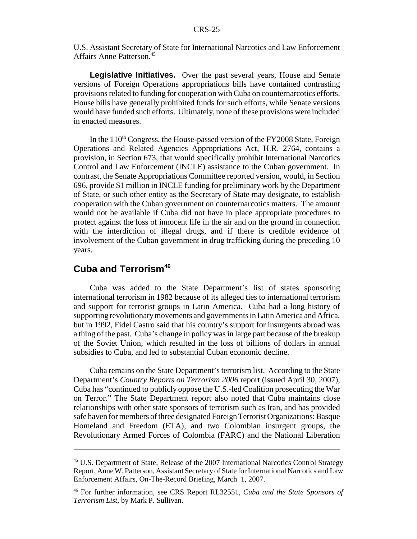U.S. Assistant Secretary of State for International Narcotics and Law Enforcement Affairs Anne Patterson.45

**Legislative Initiatives.** Over the past several years, House and Senate versions of Foreign Operations appropriations bills have contained contrasting provisions related to funding for cooperation with Cuba on counternarcotics efforts. House bills have generally prohibited funds for such efforts, while Senate versions would have funded such efforts. Ultimately, none of these provisions were included in enacted measures.

In the  $110<sup>th</sup>$  Congress, the House-passed version of the FY2008 State, Foreign Operations and Related Agencies Appropriations Act, H.R. 2764, contains a provision, in Section 673, that would specifically prohibit International Narcotics Control and Law Enforcement (INCLE) assistance to the Cuban government. In contrast, the Senate Appropriations Committee reported version, would, in Section 696, provide \$1 million in INCLE funding for preliminary work by the Department of State, or such other entity as the Secretary of State may designate, to establish cooperation with the Cuban government on counternarcotics matters. The amount would not be available if Cuba did not have in place appropriate procedures to protect against the loss of innocent life in the air and on the ground in connection with the interdiction of illegal drugs, and if there is credible evidence of involvement of the Cuban government in drug trafficking during the preceding 10 years.

## **Cuba and Terrorism46**

Cuba was added to the State Department's list of states sponsoring international terrorism in 1982 because of its alleged ties to international terrorism and support for terrorist groups in Latin America. Cuba had a long history of supporting revolutionary movements and governments in Latin America and Africa, but in 1992, Fidel Castro said that his country's support for insurgents abroad was a thing of the past. Cuba's change in policy was in large part because of the breakup of the Soviet Union, which resulted in the loss of billions of dollars in annual subsidies to Cuba, and led to substantial Cuban economic decline.

Cuba remains on the State Department's terrorism list. According to the State Department's *Country Reports on Terrorism 2006* report (issued April 30, 2007), Cuba has "continued to publicly oppose the U.S.-led Coalition prosecuting the War on Terror." The State Department report also noted that Cuba maintains close relationships with other state sponsors of terrorism such as Iran, and has provided safe haven for members of three designated Foreign Terrorist Organizations: Basque Homeland and Freedom (ETA), and two Colombian insurgent groups, the Revolutionary Armed Forces of Colombia (FARC) and the National Liberation

<sup>45</sup> U.S. Department of State, Release of the 2007 International Narcotics Control Strategy Report, Anne W. Patterson, Assistant Secretary of State for International Narcotics and Law Enforcement Affairs, On-The-Record Briefing, March 1, 2007.

<sup>46</sup> For further information, see CRS Report RL32551, *Cuba and the State Sponsors of Terrorism List*, by Mark P. Sullivan.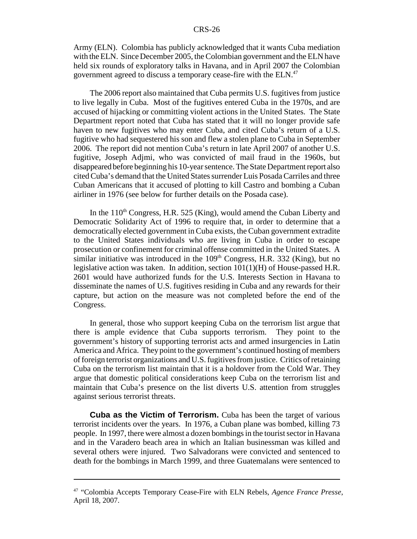Army (ELN). Colombia has publicly acknowledged that it wants Cuba mediation with the ELN. Since December 2005, the Colombian government and the ELN have held six rounds of exploratory talks in Havana, and in April 2007 the Colombian government agreed to discuss a temporary cease-fire with the ELN.<sup>47</sup>

The 2006 report also maintained that Cuba permits U.S. fugitives from justice to live legally in Cuba. Most of the fugitives entered Cuba in the 1970s, and are accused of hijacking or committing violent actions in the United States. The State Department report noted that Cuba has stated that it will no longer provide safe haven to new fugitives who may enter Cuba, and cited Cuba's return of a U.S. fugitive who had sequestered his son and flew a stolen plane to Cuba in September 2006. The report did not mention Cuba's return in late April 2007 of another U.S. fugitive, Joseph Adjmi, who was convicted of mail fraud in the 1960s, but disappeared before beginning his 10-year sentence. The State Department report also cited Cuba's demand that the United States surrender Luis Posada Carriles and three Cuban Americans that it accused of plotting to kill Castro and bombing a Cuban airliner in 1976 (see below for further details on the Posada case).

In the  $110<sup>th</sup> Congress, H.R. 525 (King), would amend the Cuban Liberty and$ Democratic Solidarity Act of 1996 to require that, in order to determine that a democratically elected government in Cuba exists, the Cuban government extradite to the United States individuals who are living in Cuba in order to escape prosecution or confinement for criminal offense committed in the United States. A similar initiative was introduced in the  $109<sup>th</sup>$  Congress, H.R. 332 (King), but no legislative action was taken. In addition, section 101(1)(H) of House-passed H.R. 2601 would have authorized funds for the U.S. Interests Section in Havana to disseminate the names of U.S. fugitives residing in Cuba and any rewards for their capture, but action on the measure was not completed before the end of the Congress.

In general, those who support keeping Cuba on the terrorism list argue that there is ample evidence that Cuba supports terrorism. They point to the government's history of supporting terrorist acts and armed insurgencies in Latin America and Africa. They point to the government's continued hosting of members of foreign terrorist organizations and U.S. fugitives from justice. Critics of retaining Cuba on the terrorism list maintain that it is a holdover from the Cold War. They argue that domestic political considerations keep Cuba on the terrorism list and maintain that Cuba's presence on the list diverts U.S. attention from struggles against serious terrorist threats.

**Cuba as the Victim of Terrorism.** Cuba has been the target of various terrorist incidents over the years. In 1976, a Cuban plane was bombed, killing 73 people. In 1997, there were almost a dozen bombings in the tourist sector in Havana and in the Varadero beach area in which an Italian businessman was killed and several others were injured. Two Salvadorans were convicted and sentenced to death for the bombings in March 1999, and three Guatemalans were sentenced to

<sup>47 &</sup>quot;Colombia Accepts Temporary Cease-Fire with ELN Rebels, *Agence France Presse*, April 18, 2007.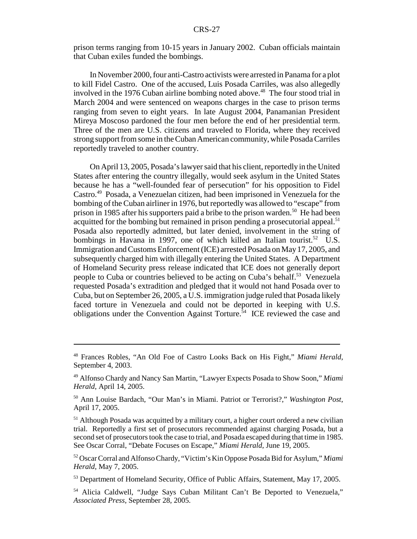prison terms ranging from 10-15 years in January 2002. Cuban officials maintain that Cuban exiles funded the bombings.

In November 2000, four anti-Castro activists were arrested in Panama for a plot to kill Fidel Castro. One of the accused, Luis Posada Carriles, was also allegedly involved in the 1976 Cuban airline bombing noted above.<sup>48</sup> The four stood trial in March 2004 and were sentenced on weapons charges in the case to prison terms ranging from seven to eight years. In late August 2004, Panamanian President Mireya Moscoso pardoned the four men before the end of her presidential term. Three of the men are U.S. citizens and traveled to Florida, where they received strong support from some in the Cuban American community, while Posada Carriles reportedly traveled to another country.

On April 13, 2005, Posada's lawyer said that his client, reportedly in the United States after entering the country illegally, would seek asylum in the United States because he has a "well-founded fear of persecution" for his opposition to Fidel Castro.49 Posada, a Venezuelan citizen, had been imprisoned in Venezuela for the bombing of the Cuban airliner in 1976, but reportedly was allowed to "escape" from prison in 1985 after his supporters paid a bribe to the prison warden.<sup>50</sup> He had been acquitted for the bombing but remained in prison pending a prosecutorial appeal.<sup>51</sup> Posada also reportedly admitted, but later denied, involvement in the string of bombings in Havana in 1997, one of which killed an Italian tourist.<sup>52</sup> U.S. Immigration and Customs Enforcement (ICE) arrested Posada on May 17, 2005, and subsequently charged him with illegally entering the United States. A Department of Homeland Security press release indicated that ICE does not generally deport people to Cuba or countries believed to be acting on Cuba's behalf.<sup>53</sup> Venezuela requested Posada's extradition and pledged that it would not hand Posada over to Cuba, but on September 26, 2005, a U.S. immigration judge ruled that Posada likely faced torture in Venezuela and could not be deported in keeping with U.S. obligations under the Convention Against Torture.<sup> $\frac{5}{4}$ </sup> ICE reviewed the case and

<sup>48</sup> Frances Robles, "An Old Foe of Castro Looks Back on His Fight," *Miami Herald*, September 4, 2003.

<sup>49</sup> Alfonso Chardy and Nancy San Martin, "Lawyer Expects Posada to Show Soon," *Miami Herald*, April 14, 2005.

<sup>50</sup> Ann Louise Bardach, "Our Man's in Miami. Patriot or Terrorist?," *Washington Post*, April 17, 2005.

 $<sup>51</sup>$  Although Posada was acquitted by a military court, a higher court ordered a new civilian</sup> trial. Reportedly a first set of prosecutors recommended against charging Posada, but a second set of prosecutors took the case to trial, and Posada escaped during that time in 1985. See Oscar Corral, "Debate Focuses on Escape," *Miami Herald*, June 19, 2005.

<sup>52</sup> Oscar Corral and Alfonso Chardy, "Victim's Kin Oppose Posada Bid for Asylum," *Miami Herald*, May 7, 2005.

<sup>&</sup>lt;sup>53</sup> Department of Homeland Security, Office of Public Affairs, Statement, May 17, 2005.

<sup>54</sup> Alicia Caldwell, "Judge Says Cuban Militant Can't Be Deported to Venezuela," *Associated Press*, September 28, 2005.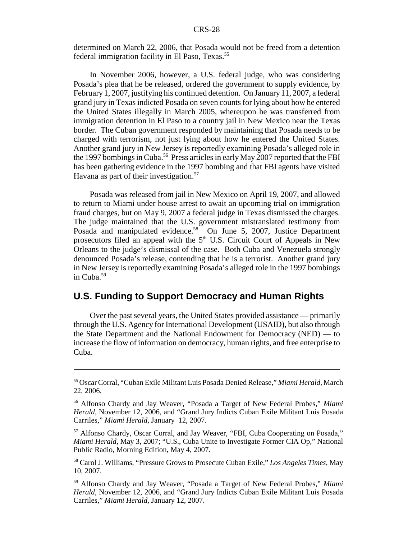determined on March 22, 2006, that Posada would not be freed from a detention federal immigration facility in El Paso, Texas.<sup>55</sup>

In November 2006, however, a U.S. federal judge, who was considering Posada's plea that he be released, ordered the government to supply evidence, by February 1, 2007, justifying his continued detention. On January 11, 2007, a federal grand jury in Texas indicted Posada on seven counts for lying about how he entered the United States illegally in March 2005, whereupon he was transferred from immigration detention in El Paso to a country jail in New Mexico near the Texas border. The Cuban government responded by maintaining that Posada needs to be charged with terrorism, not just lying about how he entered the United States. Another grand jury in New Jersey is reportedly examining Posada's alleged role in the 1997 bombings in Cuba.<sup>56</sup> Press articles in early May 2007 reported that the FBI has been gathering evidence in the 1997 bombing and that FBI agents have visited Havana as part of their investigation. $57$ 

Posada was released from jail in New Mexico on April 19, 2007, and allowed to return to Miami under house arrest to await an upcoming trial on immigration fraud charges, but on May 9, 2007 a federal judge in Texas dismissed the charges. The judge maintained that the U.S. government mistranslated testimony from Posada and manipulated evidence.<sup>58</sup> On June 5, 2007, Justice Department prosecutors filed an appeal with the  $5<sup>th</sup>$  U.S. Circuit Court of Appeals in New Orleans to the judge's dismissal of the case. Both Cuba and Venezuela strongly denounced Posada's release, contending that he is a terrorist. Another grand jury in New Jersey is reportedly examining Posada's alleged role in the 1997 bombings in Cuba.<sup>59</sup>

## **U.S. Funding to Support Democracy and Human Rights**

Over the past several years, the United States provided assistance — primarily through the U.S. Agency for International Development (USAID), but also through the State Department and the National Endowment for Democracy (NED) — to increase the flow of information on democracy, human rights, and free enterprise to Cuba.

<sup>55</sup> Oscar Corral, "Cuban Exile Militant Luis Posada Denied Release," *Miami Herald*, March 22, 2006.

<sup>56</sup> Alfonso Chardy and Jay Weaver, "Posada a Target of New Federal Probes," *Miami Herald*, November 12, 2006, and "Grand Jury Indicts Cuban Exile Militant Luis Posada Carriles," *Miami Herald*, January 12, 2007.

<sup>57</sup> Alfonso Chardy, Oscar Corral, and Jay Weaver, "FBI, Cuba Cooperating on Posada," *Miami Herald*, May 3, 2007; "U.S., Cuba Unite to Investigate Former CIA Op," National Public Radio, Morning Edition, May 4, 2007.

<sup>58</sup> Carol J. Williams, "Pressure Grows to Prosecute Cuban Exile," *Los Angeles Times*, May 10, 2007.

<sup>59</sup> Alfonso Chardy and Jay Weaver, "Posada a Target of New Federal Probes," *Miami Herald*, November 12, 2006, and "Grand Jury Indicts Cuban Exile Militant Luis Posada Carriles," *Miami Herald*, January 12, 2007.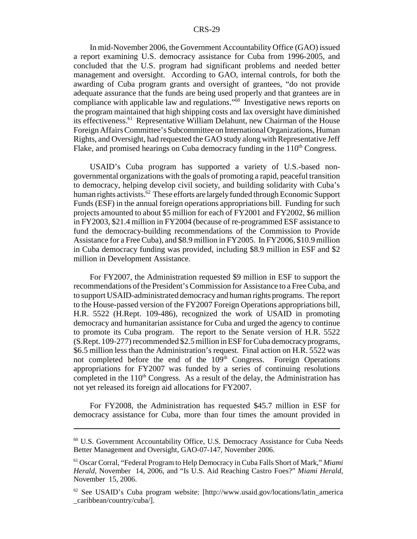In mid-November 2006, the Government Accountability Office (GAO) issued a report examining U.S. democracy assistance for Cuba from 1996-2005, and concluded that the U.S. program had significant problems and needed better management and oversight. According to GAO, internal controls, for both the awarding of Cuba program grants and oversight of grantees, "do not provide adequate assurance that the funds are being used properly and that grantees are in compliance with applicable law and regulations.<sup>"60</sup> Investigative news reports on the program maintained that high shipping costs and lax oversight have diminished its effectiveness.<sup>61</sup> Representative William Delahunt, new Chairman of the House Foreign Affairs Committee's Subcommittee on International Organizations, Human Rights, and Oversight, had requested the GAO study along with Representative Jeff Flake, and promised hearings on Cuba democracy funding in the  $110<sup>th</sup>$  Congress.

USAID's Cuba program has supported a variety of U.S.-based nongovernmental organizations with the goals of promoting a rapid, peaceful transition to democracy, helping develop civil society, and building solidarity with Cuba's human rights activists.<sup>62</sup> These efforts are largely funded through Economic Support Funds (ESF) in the annual foreign operations appropriations bill. Funding for such projects amounted to about \$5 million for each of FY2001 and FY2002, \$6 million in FY2003, \$21.4 million in FY2004 (because of re-programmed ESF assistance to fund the democracy-building recommendations of the Commission to Provide Assistance for a Free Cuba), and \$8.9 million in FY2005. In FY2006, \$10.9 million in Cuba democracy funding was provided, including \$8.9 million in ESF and \$2 million in Development Assistance.

For FY2007, the Administration requested \$9 million in ESF to support the recommendations of the President's Commission for Assistance to a Free Cuba, and to support USAID-administrated democracy and human rights programs. The report to the House-passed version of the FY2007 Foreign Operations appropriations bill, H.R. 5522 (H.Rept. 109-486), recognized the work of USAID in promoting democracy and humanitarian assistance for Cuba and urged the agency to continue to promote its Cuba program. The report to the Senate version of H.R. 5522 (S.Rept. 109-277) recommended \$2.5 million in ESF for Cuba democracy programs, \$6.5 million less than the Administration's request. Final action on H.R. 5522 was not completed before the end of the 109<sup>th</sup> Congress. Foreign Operations appropriations for FY2007 was funded by a series of continuing resolutions completed in the  $110<sup>th</sup>$  Congress. As a result of the delay, the Administration has not yet released its foreign aid allocations for FY2007.

For FY2008, the Administration has requested \$45.7 million in ESF for democracy assistance for Cuba, more than four times the amount provided in

 $60$  U.S. Government Accountability Office, U.S. Democracy Assistance for Cuba Needs Better Management and Oversight, GAO-07-147, November 2006.

<sup>61</sup> Oscar Corral, "Federal Program to Help Democracy in Cuba Falls Short of Mark," *Miami Herald*, November 14, 2006, and "Is U.S. Aid Reaching Castro Foes?" *Miami Herald*, November 15, 2006.

 $62$  See USAID's Cuba program website: [http://www.usaid.gov/locations/latin america \_caribbean/country/cuba/].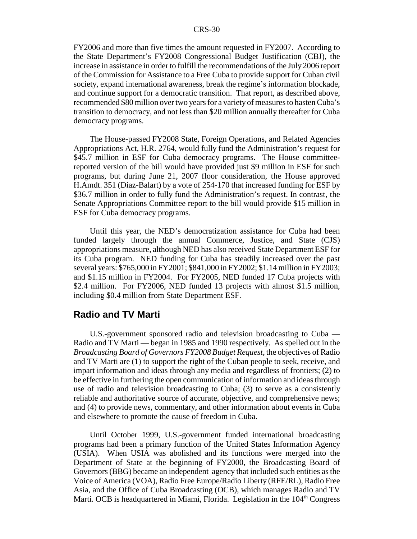FY2006 and more than five times the amount requested in FY2007. According to the State Department's FY2008 Congressional Budget Justification (CBJ), the increase in assistance in order to fulfill the recommendations of the July 2006 report of the Commission for Assistance to a Free Cuba to provide support for Cuban civil society, expand international awareness, break the regime's information blockade, and continue support for a democratic transition. That report, as described above, recommended \$80 million over two years for a variety of measures to hasten Cuba's transition to democracy, and not less than \$20 million annually thereafter for Cuba democracy programs.

The House-passed FY2008 State, Foreign Operations, and Related Agencies Appropriations Act, H.R. 2764, would fully fund the Administration's request for \$45.7 million in ESF for Cuba democracy programs. The House committeereported version of the bill would have provided just \$9 million in ESF for such programs, but during June 21, 2007 floor consideration, the House approved H.Amdt. 351 (Diaz-Balart) by a vote of 254-170 that increased funding for ESF by \$36.7 million in order to fully fund the Administration's request. In contrast, the Senate Appropriations Committee report to the bill would provide \$15 million in ESF for Cuba democracy programs.

Until this year, the NED's democratization assistance for Cuba had been funded largely through the annual Commerce, Justice, and State (CJS) appropriations measure, although NED has also received State Department ESF for its Cuba program. NED funding for Cuba has steadily increased over the past several years: \$765,000 in FY2001; \$841,000 in FY2002; \$1.14 million in FY2003; and \$1.15 million in FY2004. For FY2005, NED funded 17 Cuba projects with \$2.4 million. For FY2006, NED funded 13 projects with almost \$1.5 million, including \$0.4 million from State Department ESF.

#### **Radio and TV Marti**

U.S.-government sponsored radio and television broadcasting to Cuba — Radio and TV Marti — began in 1985 and 1990 respectively. As spelled out in the *Broadcasting Board of Governors FY2008 Budget Request*, the objectives of Radio and TV Marti are (1) to support the right of the Cuban people to seek, receive, and impart information and ideas through any media and regardless of frontiers; (2) to be effective in furthering the open communication of information and ideas through use of radio and television broadcasting to Cuba; (3) to serve as a consistently reliable and authoritative source of accurate, objective, and comprehensive news; and (4) to provide news, commentary, and other information about events in Cuba and elsewhere to promote the cause of freedom in Cuba.

Until October 1999, U.S.-government funded international broadcasting programs had been a primary function of the United States Information Agency (USIA). When USIA was abolished and its functions were merged into the Department of State at the beginning of FY2000, the Broadcasting Board of Governors (BBG) became an independent agency that included such entities as the Voice of America (VOA), Radio Free Europe/Radio Liberty (RFE/RL), Radio Free Asia, and the Office of Cuba Broadcasting (OCB), which manages Radio and TV Marti. OCB is headquartered in Miami, Florida. Legislation in the  $104<sup>th</sup>$  Congress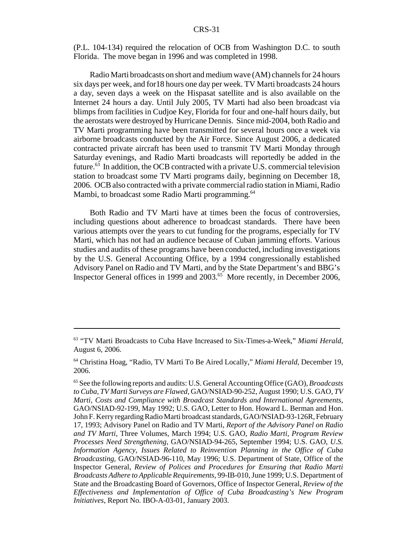(P.L. 104-134) required the relocation of OCB from Washington D.C. to south Florida. The move began in 1996 and was completed in 1998.

Radio Marti broadcasts on short and medium wave (AM) channels for 24 hours six days per week, and for18 hours one day per week. TV Marti broadcasts 24 hours a day, seven days a week on the Hispasat satellite and is also available on the Internet 24 hours a day. Until July 2005, TV Marti had also been broadcast via blimps from facilities in Cudjoe Key, Florida for four and one-half hours daily, but the aerostats were destroyed by Hurricane Dennis. Since mid-2004, both Radio and TV Marti programming have been transmitted for several hours once a week via airborne broadcasts conducted by the Air Force. Since August 2006, a dedicated contracted private aircraft has been used to transmit TV Marti Monday through Saturday evenings, and Radio Marti broadcasts will reportedly be added in the future.<sup>63</sup> In addition, the OCB contracted with a private U.S. commercial television station to broadcast some TV Marti programs daily, beginning on December 18, 2006. OCB also contracted with a private commercial radio station in Miami, Radio Mambi, to broadcast some Radio Marti programming.<sup>64</sup>

Both Radio and TV Marti have at times been the focus of controversies, including questions about adherence to broadcast standards. There have been various attempts over the years to cut funding for the programs, especially for TV Marti, which has not had an audience because of Cuban jamming efforts. Various studies and audits of these programs have been conducted, including investigations by the U.S. General Accounting Office, by a 1994 congressionally established Advisory Panel on Radio and TV Marti, and by the State Department's and BBG's Inspector General offices in 1999 and 2003.65 More recently, in December 2006,

<sup>63 &</sup>quot;TV Marti Broadcasts to Cuba Have Increased to Six-Times-a-Week," *Miami Herald*, August 6, 2006.

<sup>64</sup> Christina Hoag, "Radio, TV Marti To Be Aired Locally," *Miami Herald*, December 19, 2006.

<sup>65</sup> See the following reports and audits: U.S. General Accounting Office (GAO), *Broadcasts to Cuba, TV Marti Surveys are Flawed*, GAO/NSIAD-90-252, August 1990; U.S. GAO, *TV Marti, Costs and Compliance with Broadcast Standards and International Agreements*, GAO/NSIAD-92-199, May 1992; U.S. GAO, Letter to Hon. Howard L. Berman and Hon. John F. Kerry regarding Radio Marti broadcast standards, GAO/NSIAD-93-126R, February 17, 1993; Advisory Panel on Radio and TV Marti, *Report of the Advisory Panel on Radio and TV Marti*, Three Volumes, March 1994; U.S. GAO, *Radio Marti, Program Review Processes Need Strengthening*, GAO/NSIAD-94-265, September 1994; U.S. GAO, *U.S. Information Agency, Issues Related to Reinvention Planning in the Office of Cuba Broadcasting*, GAO/NSIAD-96-110, May 1996; U.S. Department of State, Office of the Inspector General, *Review of Polices and Procedures for Ensuring that Radio Marti Broadcasts Adhere to Applicable Requirements*, 99-IB-010, June 1999; U.S. Department of State and the Broadcasting Board of Governors, Office of Inspector General, *Review of the Effectiveness and Implementation of Office of Cuba Broadcasting's New Program Initiatives*, Report No. IBO-A-03-01, January 2003.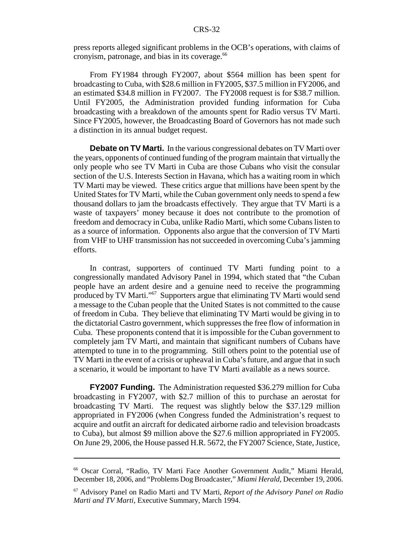press reports alleged significant problems in the OCB's operations, with claims of cronyism, patronage, and bias in its coverage.<sup>66</sup>

From FY1984 through FY2007, about \$564 million has been spent for broadcasting to Cuba, with \$28.6 million in FY2005, \$37.5 million in FY2006, and an estimated \$34.8 million in FY2007. The FY2008 request is for \$38.7 million. Until FY2005, the Administration provided funding information for Cuba broadcasting with a breakdown of the amounts spent for Radio versus TV Marti. Since FY2005, however, the Broadcasting Board of Governors has not made such a distinction in its annual budget request.

**Debate on TV Marti.** In the various congressional debates on TV Marti over the years, opponents of continued funding of the program maintain that virtually the only people who see TV Marti in Cuba are those Cubans who visit the consular section of the U.S. Interests Section in Havana, which has a waiting room in which TV Marti may be viewed. These critics argue that millions have been spent by the United States for TV Marti, while the Cuban government only needs to spend a few thousand dollars to jam the broadcasts effectively. They argue that TV Marti is a waste of taxpayers' money because it does not contribute to the promotion of freedom and democracy in Cuba, unlike Radio Marti, which some Cubans listen to as a source of information. Opponents also argue that the conversion of TV Marti from VHF to UHF transmission has not succeeded in overcoming Cuba's jamming efforts.

In contrast, supporters of continued TV Marti funding point to a congressionally mandated Advisory Panel in 1994, which stated that "the Cuban people have an ardent desire and a genuine need to receive the programming produced by TV Marti."67 Supporters argue that eliminating TV Marti would send a message to the Cuban people that the United States is not committed to the cause of freedom in Cuba. They believe that eliminating TV Marti would be giving in to the dictatorial Castro government, which suppresses the free flow of information in Cuba. These proponents contend that it is impossible for the Cuban government to completely jam TV Marti, and maintain that significant numbers of Cubans have attempted to tune in to the programming. Still others point to the potential use of TV Marti in the event of a crisis or upheaval in Cuba's future, and argue that in such a scenario, it would be important to have TV Marti available as a news source.

**FY2007 Funding.** The Administration requested \$36.279 million for Cuba broadcasting in FY2007, with \$2.7 million of this to purchase an aerostat for broadcasting TV Marti. The request was slightly below the \$37.129 million appropriated in FY2006 (when Congress funded the Administration's request to acquire and outfit an aircraft for dedicated airborne radio and television broadcasts to Cuba), but almost \$9 million above the \$27.6 million appropriated in FY2005. On June 29, 2006, the House passed H.R. 5672, the FY2007 Science, State, Justice,

<sup>66</sup> Oscar Corral, "Radio, TV Marti Face Another Government Audit," Miami Herald, December 18, 2006, and "Problems Dog Broadcaster," *Miami Herald*, December 19, 2006.

<sup>67</sup> Advisory Panel on Radio Marti and TV Marti, *Report of the Advisory Panel on Radio Marti and TV Marti*, Executive Summary, March 1994.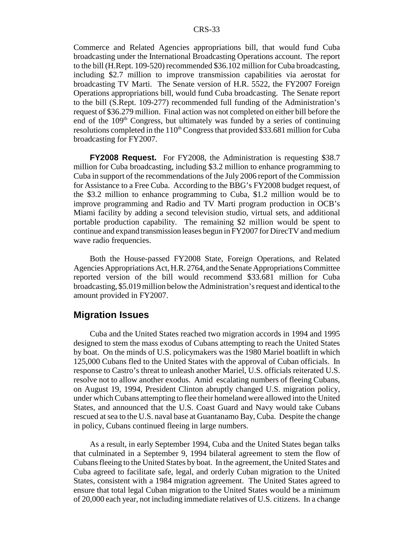Commerce and Related Agencies appropriations bill, that would fund Cuba broadcasting under the International Broadcasting Operations account. The report to the bill (H.Rept. 109-520) recommended \$36.102 million for Cuba broadcasting, including \$2.7 million to improve transmission capabilities via aerostat for broadcasting TV Marti. The Senate version of H.R. 5522, the FY2007 Foreign Operations appropriations bill, would fund Cuba broadcasting. The Senate report to the bill (S.Rept. 109-277) recommended full funding of the Administration's request of \$36.279 million. Final action was not completed on either bill before the end of the  $109<sup>th</sup>$  Congress, but ultimately was funded by a series of continuing resolutions completed in the  $110<sup>th</sup>$  Congress that provided \$33.681 million for Cuba broadcasting for FY2007.

**FY2008 Request.** For FY2008, the Administration is requesting \$38.7 million for Cuba broadcasting, including \$3.2 million to enhance programming to Cuba in support of the recommendations of the July 2006 report of the Commission for Assistance to a Free Cuba. According to the BBG's FY2008 budget request, of the \$3.2 million to enhance programming to Cuba, \$1.2 million would be to improve programming and Radio and TV Marti program production in OCB's Miami facility by adding a second television studio, virtual sets, and additional portable production capability. The remaining \$2 million would be spent to continue and expand transmission leases begun in FY2007 for DirecTV and medium wave radio frequencies.

Both the House-passed FY2008 State, Foreign Operations, and Related Agencies Appropriations Act, H.R. 2764, and the Senate Appropriations Committee reported version of the bill would recommend \$33.681 million for Cuba broadcasting, \$5.019 million below the Administration's request and identical to the amount provided in FY2007.

#### **Migration Issues**

Cuba and the United States reached two migration accords in 1994 and 1995 designed to stem the mass exodus of Cubans attempting to reach the United States by boat. On the minds of U.S. policymakers was the 1980 Mariel boatlift in which 125,000 Cubans fled to the United States with the approval of Cuban officials. In response to Castro's threat to unleash another Mariel, U.S. officials reiterated U.S. resolve not to allow another exodus. Amid escalating numbers of fleeing Cubans, on August 19, 1994, President Clinton abruptly changed U.S. migration policy, under which Cubans attempting to flee their homeland were allowed into the United States, and announced that the U.S. Coast Guard and Navy would take Cubans rescued at sea to the U.S. naval base at Guantanamo Bay, Cuba. Despite the change in policy, Cubans continued fleeing in large numbers.

As a result, in early September 1994, Cuba and the United States began talks that culminated in a September 9, 1994 bilateral agreement to stem the flow of Cubans fleeing to the United States by boat. In the agreement, the United States and Cuba agreed to facilitate safe, legal, and orderly Cuban migration to the United States, consistent with a 1984 migration agreement. The United States agreed to ensure that total legal Cuban migration to the United States would be a minimum of 20,000 each year, not including immediate relatives of U.S. citizens. In a change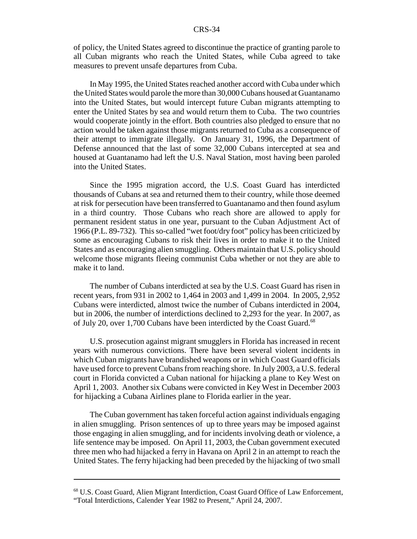of policy, the United States agreed to discontinue the practice of granting parole to all Cuban migrants who reach the United States, while Cuba agreed to take measures to prevent unsafe departures from Cuba.

In May 1995, the United States reached another accord with Cuba under which the United States would parole the more than 30,000 Cubans housed at Guantanamo into the United States, but would intercept future Cuban migrants attempting to enter the United States by sea and would return them to Cuba. The two countries would cooperate jointly in the effort. Both countries also pledged to ensure that no action would be taken against those migrants returned to Cuba as a consequence of their attempt to immigrate illegally. On January 31, 1996, the Department of Defense announced that the last of some 32,000 Cubans intercepted at sea and housed at Guantanamo had left the U.S. Naval Station, most having been paroled into the United States.

Since the 1995 migration accord, the U.S. Coast Guard has interdicted thousands of Cubans at sea and returned them to their country, while those deemed at risk for persecution have been transferred to Guantanamo and then found asylum in a third country. Those Cubans who reach shore are allowed to apply for permanent resident status in one year, pursuant to the Cuban Adjustment Act of 1966 (P.L. 89-732). This so-called "wet foot/dry foot" policy has been criticized by some as encouraging Cubans to risk their lives in order to make it to the United States and as encouraging alien smuggling. Others maintain that U.S. policy should welcome those migrants fleeing communist Cuba whether or not they are able to make it to land.

The number of Cubans interdicted at sea by the U.S. Coast Guard has risen in recent years, from 931 in 2002 to 1,464 in 2003 and 1,499 in 2004. In 2005, 2,952 Cubans were interdicted, almost twice the number of Cubans interdicted in 2004, but in 2006, the number of interdictions declined to 2,293 for the year. In 2007, as of July 20, over 1,700 Cubans have been interdicted by the Coast Guard.<sup>68</sup>

U.S. prosecution against migrant smugglers in Florida has increased in recent years with numerous convictions. There have been several violent incidents in which Cuban migrants have brandished weapons or in which Coast Guard officials have used force to prevent Cubans from reaching shore. In July 2003, a U.S. federal court in Florida convicted a Cuban national for hijacking a plane to Key West on April 1, 2003. Another six Cubans were convicted in Key West in December 2003 for hijacking a Cubana Airlines plane to Florida earlier in the year.

The Cuban government has taken forceful action against individuals engaging in alien smuggling. Prison sentences of up to three years may be imposed against those engaging in alien smuggling, and for incidents involving death or violence, a life sentence may be imposed. On April 11, 2003, the Cuban government executed three men who had hijacked a ferry in Havana on April 2 in an attempt to reach the United States. The ferry hijacking had been preceded by the hijacking of two small

<sup>68</sup> U.S. Coast Guard, Alien Migrant Interdiction, Coast Guard Office of Law Enforcement, "Total Interdictions, Calender Year 1982 to Present," April 24, 2007.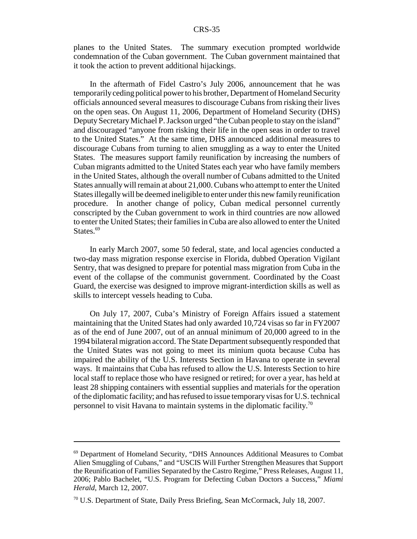planes to the United States. The summary execution prompted worldwide condemnation of the Cuban government. The Cuban government maintained that it took the action to prevent additional hijackings.

In the aftermath of Fidel Castro's July 2006, announcement that he was temporarily ceding political power to his brother, Department of Homeland Security officials announced several measures to discourage Cubans from risking their lives on the open seas. On August 11, 2006, Department of Homeland Security (DHS) Deputy Secretary Michael P. Jackson urged "the Cuban people to stay on the island" and discouraged "anyone from risking their life in the open seas in order to travel to the United States." At the same time, DHS announced additional measures to discourage Cubans from turning to alien smuggling as a way to enter the United States. The measures support family reunification by increasing the numbers of Cuban migrants admitted to the United States each year who have family members in the United States, although the overall number of Cubans admitted to the United States annually will remain at about 21,000. Cubans who attempt to enter the United States illegally will be deemed ineligible to enter under this new family reunification procedure. In another change of policy, Cuban medical personnel currently conscripted by the Cuban government to work in third countries are now allowed to enter the United States; their families in Cuba are also allowed to enter the United States.<sup>69</sup>

In early March 2007, some 50 federal, state, and local agencies conducted a two-day mass migration response exercise in Florida, dubbed Operation Vigilant Sentry, that was designed to prepare for potential mass migration from Cuba in the event of the collapse of the communist government. Coordinated by the Coast Guard, the exercise was designed to improve migrant-interdiction skills as well as skills to intercept vessels heading to Cuba.

On July 17, 2007, Cuba's Ministry of Foreign Affairs issued a statement maintaining that the United States had only awarded 10,724 visas so far in FY2007 as of the end of June 2007, out of an annual minimum of 20,000 agreed to in the 1994 bilateral migration accord. The State Department subsequently responded that the United States was not going to meet its minium quota because Cuba has impaired the ability of the U.S. Interests Section in Havana to operate in several ways. It maintains that Cuba has refused to allow the U.S. Interests Section to hire local staff to replace those who have resigned or retired; for over a year, has held at least 28 shipping containers with essential supplies and materials for the operation of the diplomatic facility; and has refused to issue temporary visas for U.S. technical personnel to visit Havana to maintain systems in the diplomatic facility.70

<sup>69</sup> Department of Homeland Security, "DHS Announces Additional Measures to Combat Alien Smuggling of Cubans," and "USCIS Will Further Strengthen Measures that Support the Reunification of Families Separated by the Castro Regime," Press Releases, August 11, 2006; Pablo Bachelet, "U.S. Program for Defecting Cuban Doctors a Success," *Miami Herald*, March 12, 2007.

<sup>70</sup> U.S. Department of State, Daily Press Briefing, Sean McCormack, July 18, 2007.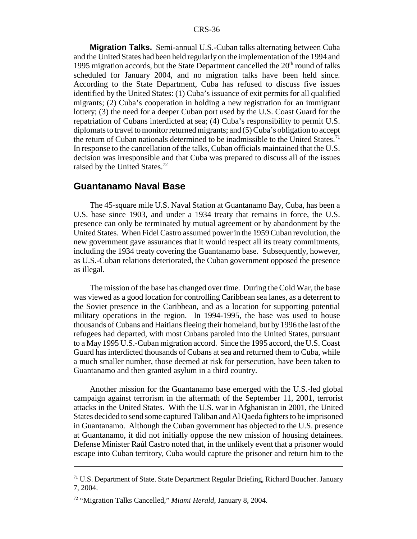**Migration Talks.** Semi-annual U.S.-Cuban talks alternating between Cuba and the United States had been held regularly on the implementation of the 1994 and 1995 migration accords, but the State Department cancelled the  $20<sup>th</sup>$  round of talks scheduled for January 2004, and no migration talks have been held since. According to the State Department, Cuba has refused to discuss five issues identified by the United States: (1) Cuba's issuance of exit permits for all qualified migrants; (2) Cuba's cooperation in holding a new registration for an immigrant lottery; (3) the need for a deeper Cuban port used by the U.S. Coast Guard for the repatriation of Cubans interdicted at sea; (4) Cuba's responsibility to permit U.S. diplomats to travel to monitor returned migrants; and (5) Cuba's obligation to accept the return of Cuban nationals determined to be inadmissible to the United States.<sup>71</sup> In response to the cancellation of the talks, Cuban officials maintained that the U.S. decision was irresponsible and that Cuba was prepared to discuss all of the issues raised by the United States.72

#### **Guantanamo Naval Base**

The 45-square mile U.S. Naval Station at Guantanamo Bay, Cuba, has been a U.S. base since 1903, and under a 1934 treaty that remains in force, the U.S. presence can only be terminated by mutual agreement or by abandonment by the United States. When Fidel Castro assumed power in the 1959 Cuban revolution, the new government gave assurances that it would respect all its treaty commitments, including the 1934 treaty covering the Guantanamo base. Subsequently, however, as U.S.-Cuban relations deteriorated, the Cuban government opposed the presence as illegal.

The mission of the base has changed over time. During the Cold War, the base was viewed as a good location for controlling Caribbean sea lanes, as a deterrent to the Soviet presence in the Caribbean, and as a location for supporting potential military operations in the region. In 1994-1995, the base was used to house thousands of Cubans and Haitians fleeing their homeland, but by 1996 the last of the refugees had departed, with most Cubans paroled into the United States, pursuant to a May 1995 U.S.-Cuban migration accord. Since the 1995 accord, the U.S. Coast Guard has interdicted thousands of Cubans at sea and returned them to Cuba, while a much smaller number, those deemed at risk for persecution, have been taken to Guantanamo and then granted asylum in a third country.

Another mission for the Guantanamo base emerged with the U.S.-led global campaign against terrorism in the aftermath of the September 11, 2001, terrorist attacks in the United States. With the U.S. war in Afghanistan in 2001, the United States decided to send some captured Taliban and Al Qaeda fighters to be imprisoned in Guantanamo. Although the Cuban government has objected to the U.S. presence at Guantanamo, it did not initially oppose the new mission of housing detainees. Defense Minister Raúl Castro noted that, in the unlikely event that a prisoner would escape into Cuban territory, Cuba would capture the prisoner and return him to the

 $71$  U.S. Department of State. State Department Regular Briefing, Richard Boucher. January 7, 2004.

<sup>72 &</sup>quot;Migration Talks Cancelled," *Miami Herald*, January 8, 2004.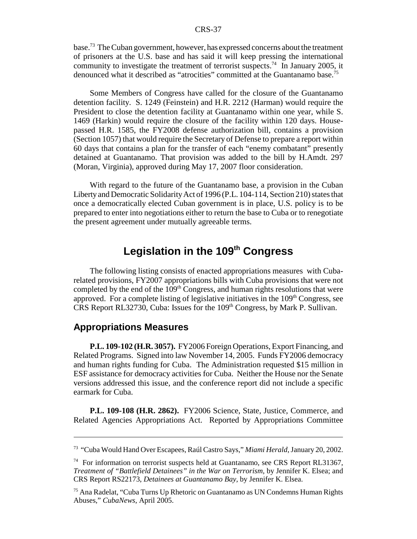base.73 The Cuban government, however, has expressed concerns about the treatment of prisoners at the U.S. base and has said it will keep pressing the international community to investigate the treatment of terrorist suspects.<sup>74</sup> In January 2005, it denounced what it described as "atrocities" committed at the Guantanamo base.<sup>75</sup>

Some Members of Congress have called for the closure of the Guantanamo detention facility. S. 1249 (Feinstein) and H.R. 2212 (Harman) would require the President to close the detention facility at Guantanamo within one year, while S. 1469 (Harkin) would require the closure of the facility within 120 days. Housepassed H.R. 1585, the FY2008 defense authorization bill, contains a provision (Section 1057) that would require the Secretary of Defense to prepare a report within 60 days that contains a plan for the transfer of each "enemy combatant" presently detained at Guantanamo. That provision was added to the bill by H.Amdt. 297 (Moran, Virginia), approved during May 17, 2007 floor consideration.

With regard to the future of the Guantanamo base, a provision in the Cuban Liberty and Democratic Solidarity Act of 1996 (P.L. 104-114, Section 210) states that once a democratically elected Cuban government is in place, U.S. policy is to be prepared to enter into negotiations either to return the base to Cuba or to renegotiate the present agreement under mutually agreeable terms.

# Legislation in the 109<sup>th</sup> Congress

The following listing consists of enacted appropriations measures with Cubarelated provisions, FY2007 appropriations bills with Cuba provisions that were not completed by the end of the 109<sup>th</sup> Congress, and human rights resolutions that were approved. For a complete listing of legislative initiatives in the  $109<sup>th</sup>$  Congress, see CRS Report RL32730, Cuba: Issues for the 109<sup>th</sup> Congress, by Mark P. Sullivan.

#### **Appropriations Measures**

**P.L. 109-102 (H.R. 3057).** FY2006 Foreign Operations, Export Financing, and Related Programs. Signed into law November 14, 2005. Funds FY2006 democracy and human rights funding for Cuba. The Administration requested \$15 million in ESF assistance for democracy activities for Cuba. Neither the House nor the Senate versions addressed this issue, and the conference report did not include a specific earmark for Cuba.

**P.L. 109-108 (H.R. 2862).** FY2006 Science, State, Justice, Commerce, and Related Agencies Appropriations Act. Reported by Appropriations Committee

<sup>73 &</sup>quot;Cuba Would Hand Over Escapees, Raúl Castro Says," *Miami Herald*, January 20, 2002.

<sup>74</sup> For information on terrorist suspects held at Guantanamo, see CRS Report RL31367, *Treatment of "Battlefield Detainees" in the War on Terrorism*, by Jennifer K. Elsea; and CRS Report RS22173, *Detainees at Guantanamo Bay,* by Jennifer K. Elsea.

<sup>75</sup> Ana Radelat, "Cuba Turns Up Rhetoric on Guantanamo as UN Condemns Human Rights Abuses," *CubaNews*, April 2005.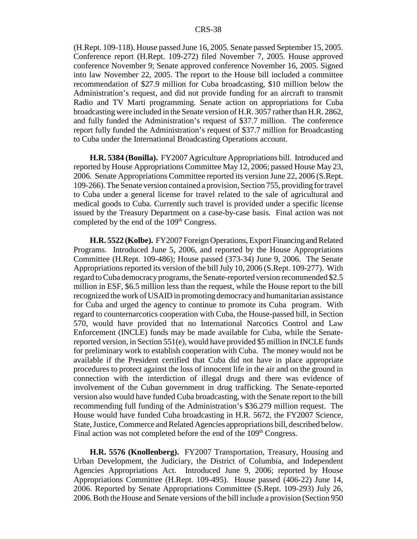(H.Rept. 109-118). House passed June 16, 2005. Senate passed September 15, 2005. Conference report (H.Rept. 109-272) filed November 7, 2005. House approved conference November 9; Senate approved conference November 16, 2005. Signed into law November 22, 2005. The report to the House bill included a committee recommendation of \$27.9 million for Cuba broadcasting, \$10 million below the Administration's request, and did not provide funding for an aircraft to transmit Radio and TV Marti programming. Senate action on appropriations for Cuba broadcasting were included in the Senate version of H.R. 3057 rather than H.R. 2862, and fully funded the Administration's request of \$37.7 million. The conference report fully funded the Administration's request of \$37.7 million for Broadcasting to Cuba under the International Broadcasting Operations account.

**H.R. 5384 (Bonilla).** FY2007 Agriculture Appropriations bill. Introduced and reported by House Appropriations Committee May 12, 2006; passed House May 23, 2006. Senate Appropriations Committee reported its version June 22, 2006 (S.Rept. 109-266). The Senate version contained a provision, Section 755, providing for travel to Cuba under a general license for travel related to the sale of agricultural and medical goods to Cuba. Currently such travel is provided under a specific license issued by the Treasury Department on a case-by-case basis. Final action was not completed by the end of the 109<sup>th</sup> Congress.

**H.R. 5522 (Kolbe).** FY2007 Foreign Operations, Export Financing and Related Programs. Introduced June 5, 2006, and reported by the House Appropriations Committee (H.Rept. 109-486); House passed (373-34) June 9, 2006. The Senate Appropriations reported its version of the bill July 10, 2006 (S.Rept. 109-277). With regard to Cuba democracy programs, the Senate-reported version recommended \$2.5 million in ESF, \$6.5 million less than the request, while the House report to the bill recognized the work of USAID in promoting democracy and humanitarian assistance for Cuba and urged the agency to continue to promote its Cuba program. With regard to counternarcotics cooperation with Cuba, the House-passed bill, in Section 570, would have provided that no International Narcotics Control and Law Enforcement (INCLE) funds may be made available for Cuba, while the Senatereported version, in Section 551(e), would have provided \$5 million in INCLE funds for preliminary work to establish cooperation with Cuba. The money would not be available if the President certified that Cuba did not have in place appropriate procedures to protect against the loss of innocent life in the air and on the ground in connection with the interdiction of illegal drugs and there was evidence of involvement of the Cuban government in drug trafficking. The Senate-reported version also would have funded Cuba broadcasting, with the Senate report to the bill recommending full funding of the Administration's \$36.279 million request. The House would have funded Cuba broadcasting in H.R. 5672, the FY2007 Science, State, Justice, Commerce and Related Agencies appropriations bill, described below. Final action was not completed before the end of the 109<sup>th</sup> Congress.

**H.R. 5576 (Knollenberg).** FY2007 Transportation, Treasury, Housing and Urban Development, the Judiciary, the District of Columbia, and Independent Agencies Appropriations Act. Introduced June 9, 2006; reported by House Appropriations Committee (H.Rept. 109-495). House passed (406-22) June 14, 2006. Reported by Senate Appropriations Committee (S.Rept. 109-293) July 26, 2006. Both the House and Senate versions of the bill include a provision (Section 950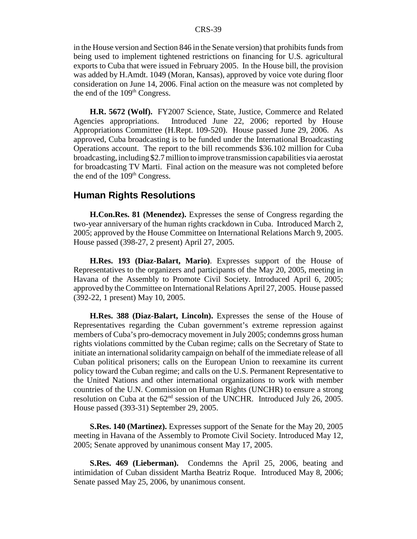in the House version and Section 846 in the Senate version) that prohibits funds from being used to implement tightened restrictions on financing for U.S. agricultural exports to Cuba that were issued in February 2005. In the House bill, the provision was added by H.Amdt. 1049 (Moran, Kansas), approved by voice vote during floor consideration on June 14, 2006. Final action on the measure was not completed by the end of the  $109<sup>th</sup>$  Congress.

**H.R. 5672 (Wolf).** FY2007 Science, State, Justice, Commerce and Related Agencies appropriations. Introduced June 22, 2006; reported by House Appropriations Committee (H.Rept. 109-520). House passed June 29, 2006. As approved, Cuba broadcasting is to be funded under the International Broadcasting Operations account. The report to the bill recommends \$36.102 million for Cuba broadcasting, including \$2.7 million to improve transmission capabilities via aerostat for broadcasting TV Marti. Final action on the measure was not completed before the end of the  $109<sup>th</sup>$  Congress.

## **Human Rights Resolutions**

**H.Con.Res. 81 (Menendez).** Expresses the sense of Congress regarding the two-year anniversary of the human rights crackdown in Cuba. Introduced March 2, 2005; approved by the House Committee on International Relations March 9, 2005. House passed (398-27, 2 present) April 27, 2005.

**H.Res. 193 (Diaz-Balart, Mario)**. Expresses support of the House of Representatives to the organizers and participants of the May 20, 2005, meeting in Havana of the Assembly to Promote Civil Society. Introduced April 6, 2005; approved by the Committee on International Relations April 27, 2005. House passed (392-22, 1 present) May 10, 2005.

**H.Res. 388 (Diaz-Balart, Lincoln).** Expresses the sense of the House of Representatives regarding the Cuban government's extreme repression against members of Cuba's pro-democracy movement in July 2005; condemns gross human rights violations committed by the Cuban regime; calls on the Secretary of State to initiate an international solidarity campaign on behalf of the immediate release of all Cuban political prisoners; calls on the European Union to reexamine its current policy toward the Cuban regime; and calls on the U.S. Permanent Representative to the United Nations and other international organizations to work with member countries of the U.N. Commission on Human Rights (UNCHR) to ensure a strong resolution on Cuba at the 62<sup>nd</sup> session of the UNCHR. Introduced July 26, 2005. House passed (393-31) September 29, 2005.

**S.Res. 140 (Martinez).** Expresses support of the Senate for the May 20, 2005 meeting in Havana of the Assembly to Promote Civil Society. Introduced May 12, 2005; Senate approved by unanimous consent May 17, 2005.

**S.Res. 469 (Lieberman).** Condemns the April 25, 2006, beating and intimidation of Cuban dissident Martha Beatriz Roque. Introduced May 8, 2006; Senate passed May 25, 2006, by unanimous consent.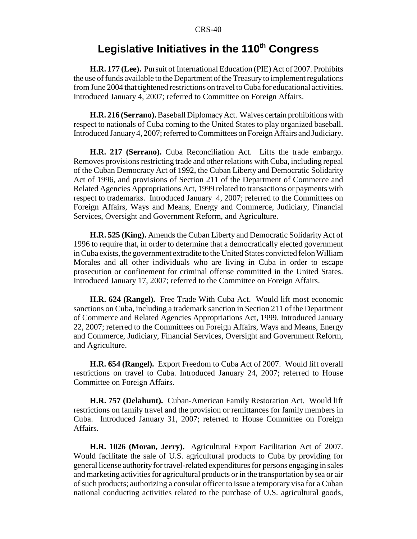## Legislative Initiatives in the 110<sup>th</sup> Congress

**H.R. 177 (Lee).** Pursuit of International Education (PIE) Act of 2007. Prohibits the use of funds available to the Department of the Treasury to implement regulations from June 2004 that tightened restrictions on travel to Cuba for educational activities. Introduced January 4, 2007; referred to Committee on Foreign Affairs.

**H.R. 216 (Serrano).** Baseball Diplomacy Act. Waives certain prohibitions with respect to nationals of Cuba coming to the United States to play organized baseball. Introduced January 4, 2007; referred to Committees on Foreign Affairs and Judiciary.

**H.R. 217 (Serrano).** Cuba Reconciliation Act. Lifts the trade embargo. Removes provisions restricting trade and other relations with Cuba, including repeal of the Cuban Democracy Act of 1992, the Cuban Liberty and Democratic Solidarity Act of 1996, and provisions of Section 211 of the Department of Commerce and Related Agencies Appropriations Act, 1999 related to transactions or payments with respect to trademarks. Introduced January 4, 2007; referred to the Committees on Foreign Affairs, Ways and Means, Energy and Commerce, Judiciary, Financial Services, Oversight and Government Reform, and Agriculture.

**H.R. 525 (King).** Amends the Cuban Liberty and Democratic Solidarity Act of 1996 to require that, in order to determine that a democratically elected government in Cuba exists, the government extradite to the United States convicted felon William Morales and all other individuals who are living in Cuba in order to escape prosecution or confinement for criminal offense committed in the United States. Introduced January 17, 2007; referred to the Committee on Foreign Affairs.

**H.R. 624 (Rangel).** Free Trade With Cuba Act. Would lift most economic sanctions on Cuba, including a trademark sanction in Section 211 of the Department of Commerce and Related Agencies Appropriations Act, 1999. Introduced January 22, 2007; referred to the Committees on Foreign Affairs, Ways and Means, Energy and Commerce, Judiciary, Financial Services, Oversight and Government Reform, and Agriculture.

**H.R. 654 (Rangel).** Export Freedom to Cuba Act of 2007. Would lift overall restrictions on travel to Cuba. Introduced January 24, 2007; referred to House Committee on Foreign Affairs.

**H.R. 757 (Delahunt).** Cuban-American Family Restoration Act. Would lift restrictions on family travel and the provision or remittances for family members in Cuba. Introduced January 31, 2007; referred to House Committee on Foreign Affairs.

**H.R. 1026 (Moran, Jerry).** Agricultural Export Facilitation Act of 2007. Would facilitate the sale of U.S. agricultural products to Cuba by providing for general license authority for travel-related expenditures for persons engaging in sales and marketing activities for agricultural products or in the transportation by sea or air of such products; authorizing a consular officer to issue a temporary visa for a Cuban national conducting activities related to the purchase of U.S. agricultural goods,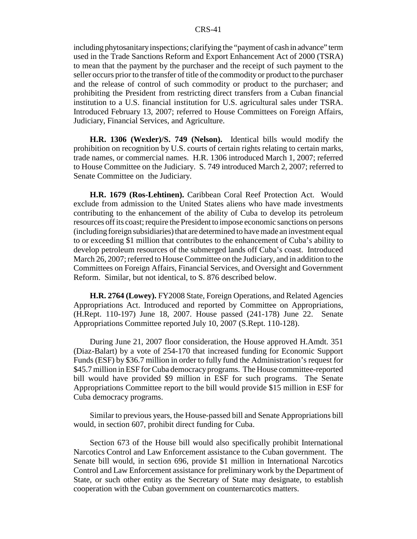including phytosanitary inspections; clarifying the "payment of cash in advance" term used in the Trade Sanctions Reform and Export Enhancement Act of 2000 (TSRA) to mean that the payment by the purchaser and the receipt of such payment to the seller occurs prior to the transfer of title of the commodity or product to the purchaser and the release of control of such commodity or product to the purchaser; and prohibiting the President from restricting direct transfers from a Cuban financial institution to a U.S. financial institution for U.S. agricultural sales under TSRA. Introduced February 13, 2007; referred to House Committees on Foreign Affairs, Judiciary, Financial Services, and Agriculture.

**H.R. 1306 (Wexler)/S. 749 (Nelson).** Identical bills would modify the prohibition on recognition by U.S. courts of certain rights relating to certain marks, trade names, or commercial names. H.R. 1306 introduced March 1, 2007; referred to House Committee on the Judiciary. S. 749 introduced March 2, 2007; referred to Senate Committee on the Judiciary.

**H.R. 1679 (Ros-Lehtinen).** Caribbean Coral Reef Protection Act. Would exclude from admission to the United States aliens who have made investments contributing to the enhancement of the ability of Cuba to develop its petroleum resources off its coast; require the President to impose economic sanctions on persons (including foreign subsidiaries) that are determined to have made an investment equal to or exceeding \$1 million that contributes to the enhancement of Cuba's ability to develop petroleum resources of the submerged lands off Cuba's coast. Introduced March 26, 2007; referred to House Committee on the Judiciary, and in addition to the Committees on Foreign Affairs, Financial Services, and Oversight and Government Reform. Similar, but not identical, to S. 876 described below.

**H.R. 2764 (Lowey).** FY2008 State, Foreign Operations, and Related Agencies Appropriations Act. Introduced and reported by Committee on Appropriations, (H.Rept. 110-197) June 18, 2007. House passed (241-178) June 22. Senate Appropriations Committee reported July 10, 2007 (S.Rept. 110-128).

During June 21, 2007 floor consideration, the House approved H.Amdt. 351 (Diaz-Balart) by a vote of 254-170 that increased funding for Economic Support Funds (ESF) by \$36.7 million in order to fully fund the Administration's request for \$45.7 million in ESF for Cuba democracy programs. The House committee-reported bill would have provided \$9 million in ESF for such programs. The Senate Appropriations Committee report to the bill would provide \$15 million in ESF for Cuba democracy programs.

Similar to previous years, the House-passed bill and Senate Appropriations bill would, in section 607, prohibit direct funding for Cuba.

Section 673 of the House bill would also specifically prohibit International Narcotics Control and Law Enforcement assistance to the Cuban government. The Senate bill would, in section 696, provide \$1 million in International Narcotics Control and Law Enforcement assistance for preliminary work by the Department of State, or such other entity as the Secretary of State may designate, to establish cooperation with the Cuban government on counternarcotics matters.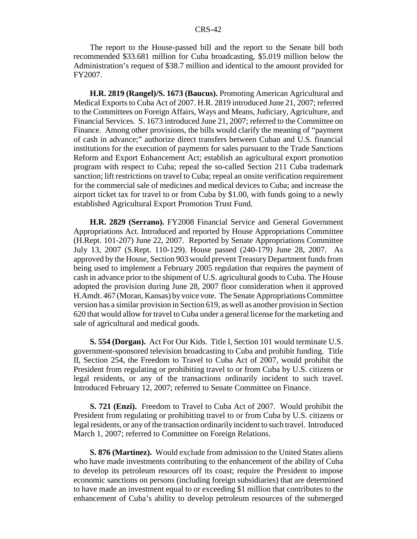The report to the House-passed bill and the report to the Senate bill both recommended \$33.681 million for Cuba broadcasting, \$5.019 million below the Administration's request of \$38.7 million and identical to the amount provided for FY2007.

**H.R. 2819 (Rangel)/S. 1673 (Baucus).** Promoting American Agricultural and Medical Exports to Cuba Act of 2007. H.R. 2819 introduced June 21, 2007; referred to the Committees on Foreign Affairs, Ways and Means, Judiciary, Agriculture, and Financial Services. S. 1673 introduced June 21, 2007; referred to the Committee on Finance. Among other provisions, the bills would clarify the meaning of "payment of cash in advance;" authorize direct transfers between Cuban and U.S. financial institutions for the execution of payments for sales pursuant to the Trade Sanctions Reform and Export Enhancement Act; establish an agricultural export promotion program with respect to Cuba; repeal the so-called Section 211 Cuba trademark sanction; lift restrictions on travel to Cuba; repeal an onsite verification requirement for the commercial sale of medicines and medical devices to Cuba; and increase the airport ticket tax for travel to or from Cuba by \$1.00, with funds going to a newly established Agricultural Export Promotion Trust Fund.

**H.R. 2829 (Serrano).** FY2008 Financial Service and General Government Appropriations Act. Introduced and reported by House Appropriations Committee (H.Rept. 101-207) June 22, 2007. Reported by Senate Appropriations Committee July 13, 2007 (S.Rept. 110-129). House passed (240-179) June 28, 2007. As approved by the House, Section 903 would prevent Treasury Department funds from being used to implement a February 2005 regulation that requires the payment of cash in advance prior to the shipment of U.S. agricultural goods to Cuba. The House adopted the provision during June 28, 2007 floor consideration when it approved H.Amdt. 467 (Moran, Kansas) by voice vote. The Senate Appropriations Committee version has a similar provision in Section 619, as well as another provision in Section 620 that would allow for travel to Cuba under a general license for the marketing and sale of agricultural and medical goods.

**S. 554 (Dorgan).** Act For Our Kids. Title I, Section 101 would terminate U.S. government-sponsored television broadcasting to Cuba and prohibit funding. Title II, Section 254, the Freedom to Travel to Cuba Act of 2007, would prohibit the President from regulating or prohibiting travel to or from Cuba by U.S. citizens or legal residents, or any of the transactions ordinarily incident to such travel. Introduced February 12, 2007; referred to Senate Committee on Finance.

**S. 721 (Enzi).** Freedom to Travel to Cuba Act of 2007. Would prohibit the President from regulating or prohibiting travel to or from Cuba by U.S. citizens or legal residents, or any of the transaction ordinarily incident to such travel. Introduced March 1, 2007; referred to Committee on Foreign Relations.

**S. 876 (Martinez).** Would exclude from admission to the United States aliens who have made investments contributing to the enhancement of the ability of Cuba to develop its petroleum resources off its coast; require the President to impose economic sanctions on persons (including foreign subsidiaries) that are determined to have made an investment equal to or exceeding \$1 million that contributes to the enhancement of Cuba's ability to develop petroleum resources of the submerged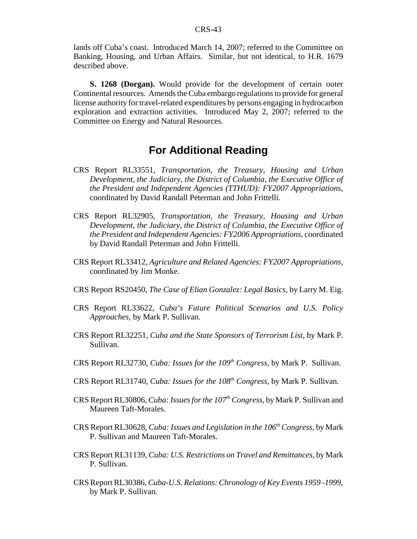lands off Cuba's coast. Introduced March 14, 2007; referred to the Committee on Banking, Housing, and Urban Affairs. Similar, but not identical, to H.R. 1679 described above.

**S. 1268 (Dorgan).** Would provide for the development of certain outer Continental resources. Amends the Cuba embargo regulations to provide for general license authority for travel-related expenditures by persons engaging in hydrocarbon exploration and extraction activities. Introduced May 2, 2007; referred to the Committee on Energy and Natural Resources.

## **For Additional Reading**

- CRS Report RL33551, *Transportation, the Treasury, Housing and Urban Development, the Judiciary, the District of Columbia, the Executive Office of the President and Independent Agencies (TTHUD): FY2007 Appropriations,* coordinated by David Randall Peterman and John Frittelli.
- CRS Report RL32905, *Transportation, the Treasury, Housing and Urban Development, the Judiciary, the District of Columbia, the Executive Office of the President and Independent Agencies: FY2006 Appropriations,* coordinated by David Randall Peterman and John Frittelli.
- CRS Report RL33412, *Agriculture and Related Agencies: FY2007 Appropriations,* coordinated by Jim Monke.
- CRS Report RS20450, *The Case of Elian Gonzalez: Legal Basics,* by Larry M. Eig.
- CRS Report RL33622, *Cuba's Future Political Scenarios and U.S. Policy Approaches,* by Mark P. Sullivan.
- CRS Report RL32251, *Cuba and the State Sponsors of Terrorism List*, by Mark P. Sullivan.
- CRS Report RL32730, *Cuba: Issues for the 109<sup>th</sup> Congress*, by Mark P. Sullivan.
- CRS Report RL31740, *Cuba: Issues for the 108th Congress*, by Mark P. Sullivan.
- CRS Report RL30806, *Cuba: Issues for the 107th Congress,* by Mark P. Sullivan and Maureen Taft-Morales.
- CRS Report RL30628, *Cuba: Issues and Legislation in the 106th Congress*, by Mark P. Sullivan and Maureen Taft-Morales.
- CRS Report RL31139, *Cuba: U.S. Restrictions on Travel and Remittances,* by Mark P. Sullivan.
- CRS Report RL30386, *Cuba-U.S. Relations: Chronology of Key Events 1959 -1999,* by Mark P. Sullivan.